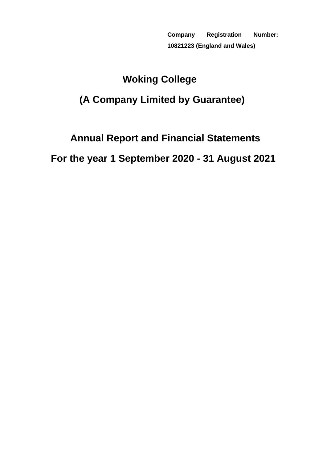**Company Registration Number: 10821223 (England and Wales)** 

# **Woking College**

# **(A Company Limited by Guarantee)**

# **Annual Report and Financial Statements**

**For the year 1 September 2020 - 31 August 2021**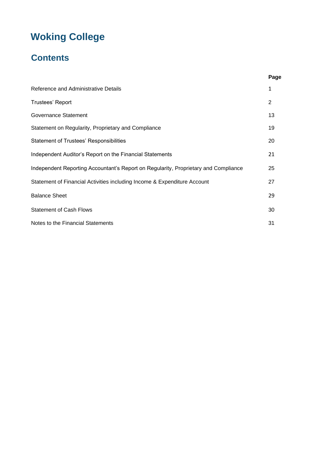# **Contents**

|                                                                                     | Page |
|-------------------------------------------------------------------------------------|------|
| Reference and Administrative Details                                                | 1    |
| Trustees' Report                                                                    | 2    |
| Governance Statement                                                                | 13   |
| Statement on Regularity, Proprietary and Compliance                                 | 19   |
| <b>Statement of Trustees' Responsibilities</b>                                      | 20   |
| Independent Auditor's Report on the Financial Statements                            | 21   |
| Independent Reporting Accountant's Report on Regularity, Proprietary and Compliance | 25   |
| Statement of Financial Activities including Income & Expenditure Account            | 27   |
| <b>Balance Sheet</b>                                                                | 29   |
| <b>Statement of Cash Flows</b>                                                      | 30   |
| Notes to the Financial Statements                                                   | 31   |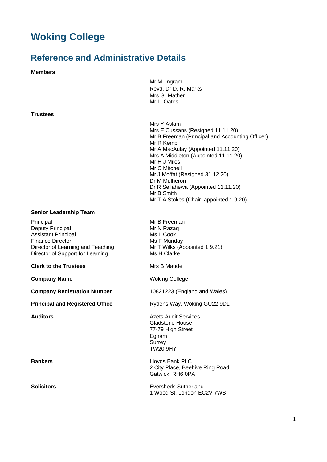# **Reference and Administrative Details**

**Members**

## **Trustees**

**Senior Leadership Team**

Principal Mr B Freeman Deputy Principal Mr N Razaq Assistant Principal Ms L Cook Finance Director<br>Director of Learning and Teaching Mr T Wilks (Appointed 1.9.21) Director of Learning and Teaching Director of Support for Learning Ms H Clarke

#### **Clerk to the Trustees** Mrs B Maude

**Company Name** Woking College

**Company Registration Number** 10821223 (England and Wales)

**Principal and Registered Office** Rydens Way, Woking GU22 9DL

Mr M. Ingram Revd. Dr D. R. Marks Mrs G. Mather Mr L. Oates

Mrs Y Aslam Mrs E Cussans (Resigned 11.11.20) Mr B Freeman (Principal and Accounting Officer) Mr R Kemp Mr A MacAulay (Appointed 11.11.20) Mrs A Middleton (Appointed 11.11.20) Mr H J Miles Mr C Mitchell Mr J Moffat (Resigned 31.12.20) Dr M Mulheron Dr R Sellahewa (Appointed 11.11.20) Mr B Smith Mr T A Stokes (Chair, appointed 1.9.20)

**Auditors Azets Audit Services** Gladstone House 77-79 High Street Egham **Surrey** TW20 9HY

**Bankers** Lloyds Bank PLC 2 City Place, Beehive Ring Road Gatwick, RH6 0PA

**Solicitors** Eversheds Sutherland 1 Wood St, London EC2V 7WS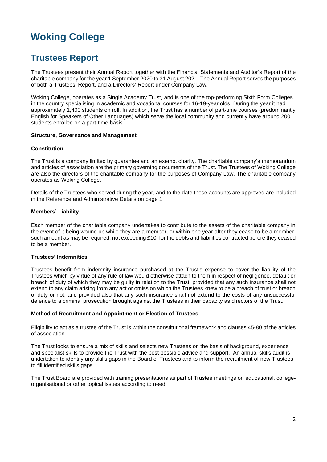# **Trustees Report**

The Trustees present their Annual Report together with the Financial Statements and Auditor's Report of the charitable company for the year 1 September 2020 to 31 August 2021. The Annual Report serves the purposes of both a Trustees' Report, and a Directors' Report under Company Law.

Woking College, operates as a Single Academy Trust, and is one of the top-performing Sixth Form Colleges in the country specialising in academic and vocational courses for 16-19-year olds. During the year it had approximately 1,400 students on roll. In addition, the Trust has a number of part-time courses (predominantly English for Speakers of Other Languages) which serve the local community and currently have around 200 students enrolled on a part-time basis.

## **Structure, Governance and Management**

### **Constitution**

The Trust is a company limited by guarantee and an exempt charity. The charitable company's memorandum and articles of association are the primary governing documents of the Trust. The Trustees of Woking College are also the directors of the charitable company for the purposes of Company Law. The charitable company operates as Woking College.

Details of the Trustees who served during the year, and to the date these accounts are approved are included in the Reference and Administrative Details on page 1.

### **Members' Liability**

Each member of the charitable company undertakes to contribute to the assets of the charitable company in the event of it being wound up while they are a member, or within one year after they cease to be a member, such amount as may be required, not exceeding £10, for the debts and liabilities contracted before they ceased to be a member.

#### **Trustees' Indemnities**

Trustees benefit from indemnity insurance purchased at the Trust's expense to cover the liability of the Trustees which by virtue of any rule of law would otherwise attach to them in respect of negligence, default or breach of duty of which they may be guilty in relation to the Trust, provided that any such insurance shall not extend to any claim arising from any act or omission which the Trustees knew to be a breach of trust or breach of duty or not, and provided also that any such insurance shall not extend to the costs of any unsuccessful defence to a criminal prosecution brought against the Trustees in their capacity as directors of the Trust.

#### **Method of Recruitment and Appointment or Election of Trustees**

Eligibility to act as a trustee of the Trust is within the constitutional framework and clauses 45-80 of the articles of association.

The Trust looks to ensure a mix of skills and selects new Trustees on the basis of background, experience and specialist skills to provide the Trust with the best possible advice and support. An annual skills audit is undertaken to identify any skills gaps in the Board of Trustees and to inform the recruitment of new Trustees to fill identified skills gaps.

The Trust Board are provided with training presentations as part of Trustee meetings on educational, collegeorganisational or other topical issues according to need.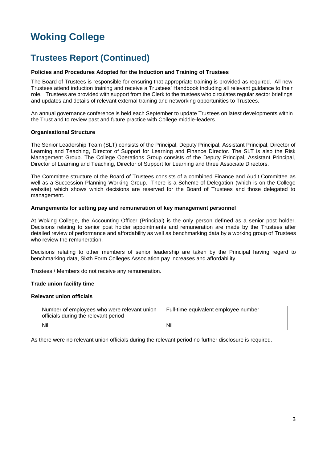# **Trustees Report (Continued)**

### **Policies and Procedures Adopted for the Induction and Training of Trustees**

The Board of Trustees is responsible for ensuring that appropriate training is provided as required. All new Trustees attend induction training and receive a Trustees' Handbook including all relevant guidance to their role. Trustees are provided with support from the Clerk to the trustees who circulates regular sector briefings and updates and details of relevant external training and networking opportunities to Trustees.

An annual governance conference is held each September to update Trustees on latest developments within the Trust and to review past and future practice with College middle-leaders.

#### **Organisational Structure**

The Senior Leadership Team (SLT) consists of the Principal, Deputy Principal, Assistant Principal, Director of Learning and Teaching, Director of Support for Learning and Finance Director. The SLT is also the Risk Management Group. The College Operations Group consists of the Deputy Principal, Assistant Principal, Director of Learning and Teaching, Director of Support for Learning and three Associate Directors.

The Committee structure of the Board of Trustees consists of a combined Finance and Audit Committee as well as a Succession Planning Working Group. There is a Scheme of Delegation (which is on the College website) which shows which decisions are reserved for the Board of Trustees and those delegated to management.

### **Arrangements for setting pay and remuneration of key management personnel**

At Woking College, the Accounting Officer (Principal) is the only person defined as a senior post holder. Decisions relating to senior post holder appointments and remuneration are made by the Trustees after detailed review of performance and affordability as well as benchmarking data by a working group of Trustees who review the remuneration.

Decisions relating to other members of senior leadership are taken by the Principal having regard to benchmarking data, Sixth Form Colleges Association pay increases and affordability.

Trustees / Members do not receive any remuneration.

#### **Trade union facility tim[e](http://www.legislation.gov.uk/uksi/2017/328/made)**

#### **Relevant union officials**

| Number of employees who were relevant union<br>officials during the relevant period | Full-time equivalent employee number |
|-------------------------------------------------------------------------------------|--------------------------------------|
| Nil                                                                                 | Nil                                  |

As there were no relevant union officials during the relevant period no further disclosure is required.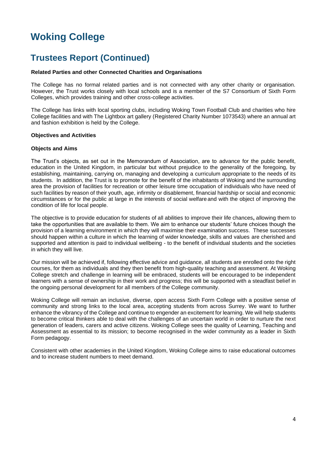# **Trustees Report (Continued)**

#### **Related Parties and other Connected Charities and Organisations**

The College has no formal related parties and is not connected with any other charity or organisation. However, the Trust works closely with local schools and is a member of the S7 Consortium of Sixth Form Colleges, which provides training and other cross-college activities.

The College has links with local sporting clubs, including Woking Town Football Club and charities who hire College facilities and with The Lightbox art gallery (Registered Charity Number 1073543) where an annual art and fashion exhibition is held by the College.

#### **Objectives and Activities**

### **Objects and Aims**

The Trust's objects, as set out in the Memorandum of Association, are to advance for the public benefit, education in the United Kingdom, in particular but without prejudice to the generality of the foregoing, by establishing, maintaining, carrying on, managing and developing a curriculum appropriate to the needs of its students. In addition, the Trust is to promote for the benefit of the inhabitants of Woking and the surrounding area the provision of facilities for recreation or other leisure time occupation of individuals who have need of such facilities by reason of their youth, age, infirmity or disablement, financial hardship or social and economic circumstances or for the public at large in the interests of social welfare and with the object of improving the condition of life for local people.

The objective is to provide education for students of all abilities to improve their life chances**,** allowing them to take the opportunities that are available to them. We aim to enhance our students' future choices though the provision of a learning environment in which they will maximise their examination success. These successes should happen within a culture in which the learning of wider knowledge, skills and values are cherished and supported and attention is paid to individual wellbeing - to the benefit of individual students and the societies in which they will live.

Our mission will be achieved if, following effective advice and guidance, all students are enrolled onto the right courses, for them as individuals and they then benefit from high-quality teaching and assessment. At Woking College stretch and challenge in learning will be embraced, students will be encouraged to be independent learners with a sense of ownership in their work and progress; this will be supported with a steadfast belief in the ongoing personal development for all members of the College community.

Woking College will remain an inclusive, diverse, open access Sixth Form College with a positive sense of community and strong links to the local area, accepting students from across Surrey. We want to further enhance the vibrancy of the College and continue to engender an excitement for learning. We will help students to become critical thinkers able to deal with the challenges of an uncertain world in order to nurture the next generation of leaders, carers and active citizens. Woking College sees the quality of Learning, Teaching and Assessment as essential to its mission; to become recognised in the wider community as a leader in Sixth Form pedagogy.

Consistent with other academies in the United Kingdom, Woking College aims to raise educational outcomes and to increase student numbers to meet demand.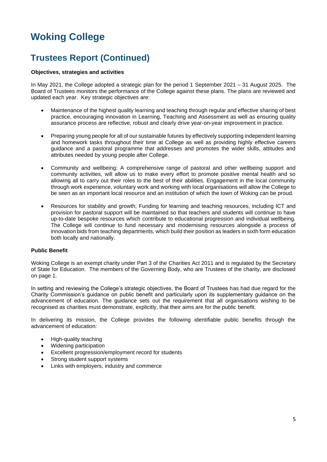# **Trustees Report (Continued)**

#### **Objectives, strategies and activities**

In May 2021, the College adopted a strategic plan for the period 1 September 2021 – 31 August 2025. The Board of Trustees monitors the performance of the College against these plans. The plans are reviewed and updated each year. Key strategic objectives are:

- Maintenance of the highest quality learning and teaching through regular and effective sharing of best practice, encouraging innovation in Learning, Teaching and Assessment as well as ensuring quality assurance process are reflective, robust and clearly drive year-on-year improvement in practice.
- Preparing young people for all of our sustainable futures by effectively supporting independent learning and homework tasks throughout their time at College as well as providing highly effective careers guidance and a pastoral programme that addresses and promotes the wider skills, attitudes and attributes needed by young people after College.
- Community and wellbeing; A comprehensive range of pastoral and other wellbeing support and community activities, will allow us to make every effort to promote positive mental health and so allowing all to carry out their roles to the best of their abilities. Engagement in the local community through work experience, voluntary work and working with local organisations will allow the College to be seen as an important local resource and an institution of which the town of Woking can be proud.
- Resources for stability and growth; Funding for learning and teaching resources, including ICT and provision for pastoral support will be maintained so that teachers and students will continue to have up-to-date bespoke resources which contribute to educational progression and individual wellbeing. The College will continue to fund necessary and modernising resources alongside a process of innovation bids from teaching departments, which build their position as leaders in sixth form education both locally and nationally.

## **Public Benefit**

Woking College is an exempt charity under Part 3 of the Charities Act 2011 and is regulated by the Secretary of State for Education. The members of the Governing Body, who are Trustees of the charity, are disclosed on page 1.

In setting and reviewing the College's strategic objectives, the Board of Trustees has had due regard for the Charity Commission's guidance on public benefit and particularly upon its supplementary guidance on the advancement of education. The guidance sets out the requirement that all organisations wishing to be recognised as charities must demonstrate, explicitly, that their aims are for the public benefit.

In delivering its mission, the College provides the following identifiable public benefits through the advancement of education:

- High-quality teaching
- Widening participation
- Excellent progression/employment record for students
- Strong student support systems
- Links with employers, industry and commerce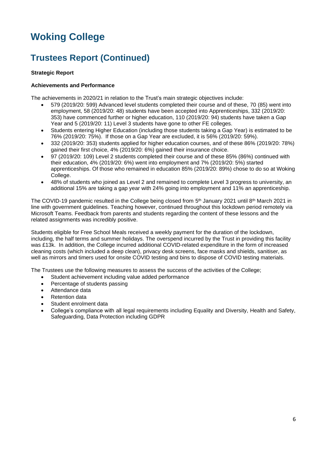# **Trustees Report (Continued)**

## **Strategic Report**

## **Achievements and Performanc[e](http://charitysorp.org/media/619101/frs102_complete.pdf)**

The achievements in 2020/21 in relation to the Trust's main strategic objectives include:

- 579 (2019/20: 599) Advanced level students completed their course and of these, 70 (85) went into employment, 58 (2019/20: 48) students have been accepted into Apprenticeships, 332 (2019/20: 353) have commenced further or higher education, 110 (2019/20: 94) students have taken a Gap Year and 5 (2019/20: 11) Level 3 students have gone to other FE colleges.
- Students entering Higher Education (including those students taking a Gap Year) is estimated to be 76% (2019/20: 75%). If those on a Gap Year are excluded, it is 56% (2019/20: 59%).
- 332 (2019/20: 353) students applied for higher education courses, and of these 86% (2019/20: 78%) gained their first choice, 4% (2019/20: 6%) gained their insurance choice.
- 97 (2019/20: 109) Level 2 students completed their course and of these 85% (86%) continued with their education, 4% (2019/20: 6%) went into employment and 7% (2019/20: 5%) started apprenticeships. Of those who remained in education 85% (2019/20: 89%) chose to do so at Woking College.
- 48% of students who joined as Level 2 and remained to complete Level 3 progress to university, an additional 15% are taking a gap year with 24% going into employment and 11% an apprenticeship.

The COVID-19 pandemic resulted in the College being closed from 5<sup>th</sup> January 2021 until 8<sup>th</sup> March 2021 in line with government guidelines. Teaching however, continued throughout this lockdown period remotely via Microsoft Teams. Feedback from parents and students regarding the content of these lessons and the related assignments was incredibly positive.

Students eligible for Free School Meals received a weekly payment for the duration of the lockdown, including, the half terms and summer holidays. The overspend incurred by the Trust in providing this facility was £13k. In addition, the College incurred additional COVID-related expenditure in the form of increased cleaning costs (which included a deep clean), privacy desk screens, face masks and shields, sanitiser, as well as mirrors and timers used for onsite COVID testing and bins to dispose of COVID testing materials.

The Trustees use the following measures to assess the success of the activities of the College;

- Student achievement including value added performance
- Percentage of students passing
- Attendance data
- Retention data
- Student enrolment data
- College's compliance with all legal requirements including Equality and Diversity, Health and Safety, Safeguarding, Data Protection including GDPR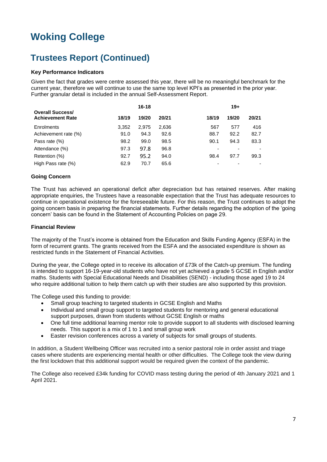# **Trustees Report (Continued)**

### **Key Performance Indicators**

Given the fact that grades were centre assessed this year, there will be no meaningful benchmark for the current year, therefore we will continue to use the same top level KPI's as presented in the prior year. Further granular detail is included in the annual Self-Assessment Report.

|                                                    |       | 16-18 |       |       | $19+$ |       |
|----------------------------------------------------|-------|-------|-------|-------|-------|-------|
| <b>Overall Success/</b><br><b>Achievement Rate</b> | 18/19 | 19/20 | 20/21 | 18/19 | 19/20 | 20/21 |
| Enrolments                                         | 3.352 | 2.975 | 2.636 | 567   | 577   | 416   |
| Achievement rate (%)                               | 91.0  | 94.3  | 92.6  | 88.7  | 92.2  | 82.7  |
| Pass rate (%)                                      | 98.2  | 99.0  | 98.5  | 90.1  | 94.3  | 83.3  |
| Attendance (%)                                     | 97.3  | 97.8  | 96.8  |       |       |       |
| Retention (%)                                      | 92.7  | 95.2  | 94.0  | 98.4  | 97.7  | 99.3  |
| High Pass rate (%)                                 | 62.9  | 70.7  | 65.6  |       |       |       |

## **Going Concern**

The Trust has achieved an operational deficit after depreciation but has retained reserves. After making appropriate enquiries, the Trustees have a reasonable expectation that the Trust has adequate resources to continue in operational existence for the foreseeable future. For this reason, the Trust continues to adopt the going concern basis in preparing the financial statements. Further details regarding the adoption of the 'going concern' basis can be found in the Statement of Accounting Policies on page 29.

### **Financial Review**

The majority of the Trust's income is obtained from the Education and Skills Funding Agency (ESFA) in the form of recurrent grants. The grants received from the ESFA and the associated expenditure is shown as restricted funds in the Statement of Financial Activities.

During the year, the College opted in to receive its allocation of £73k of the Catch-up premium. The funding is intended to support 16-19-year-old students who have not yet achieved a grade 5 GCSE in English and/or maths. Students with Special Educational Needs and Disabilities (SEND) - including those aged 19 to 24 who require additional tuition to help them catch up with their studies are also supported by this provision.

The College used this funding to provide:

- Small group teaching to targeted students in GCSE English and Maths
- Individual and small group support to targeted students for mentoring and general educational support purposes, drawn from students without GCSE English or maths
- One full time additional learning mentor role to provide support to all students with disclosed learning needs. This support is a mix of 1 to 1 and small group work
- Easter revision conferences across a variety of subjects for small groups of students.

In addition, a Student Wellbeing Officer was recruited into a senior pastoral role in order assist and triage cases where students are experiencing mental health or other difficulties. The College took the view during the first lockdown that this additional support would be required given the context of the pandemic.

The College also received £34k funding for COVID mass testing during the period of 4th January 2021 and 1 April 2021.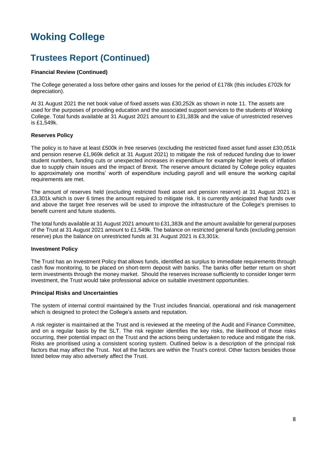# **Trustees Report (Continued)**

### **Financial Review (Continued)**

The College generated a loss before other gains and losses for the period of £178k (this includes £702k for depreciation).

At 31 August 2021 the net book value of fixed assets was £30,252k as shown in note 11. The assets are used for the purposes of providing education and the associated support services to the students of Woking College. Total funds available at 31 August 2021 amount to £31,383k and the value of unrestricted reserves is £1,549k.

#### **Reserves Policy**

The policy is to have at least £500k in free reserves (excluding the restricted fixed asset fund asset £30,051k and pension reserve £1,969k deficit at 31 August 2021) to mitigate the risk of reduced funding due to lower student numbers, funding cuts or unexpected increases in expenditure for example higher levels of inflation due to supply chain issues and the impact of Brexit. The reserve amount dictated by College policy equates to approximately one months' worth of expenditure including payroll and will ensure the working capital requirements are met.

The amount of reserves held (excluding restricted fixed asset and pension reserve) at 31 August 2021 is £3,301k which is over 6 times the amount required to mitigate risk. It is currently anticipated that funds over and above the target free reserves will be used to improve the infrastructure of the College's premises to benefit current and future students.

The total funds available at 31 August 2021 amount to £31,383k and the amount available for general purposes of the Trust at 31 August 2021 amount to £1,549k. The balance on restricted general funds (excluding pension reserve) plus the balance on unrestricted funds at 31 August 2021 is £3,301k.

#### **Investment Policy**

The Trust has an Investment Policy that allows funds, identified as surplus to immediate requirements through cash flow monitoring, to be placed on short-term deposit with banks. The banks offer better return on short term investments through the money market. Should the reserves increase sufficiently to consider longer term investment, the Trust would take professional advice on suitable investment opportunities.

#### **Principal Risks and Uncertainties**

The system of internal control maintained by the Trust includes financial, operational and risk management which is designed to protect the College's assets and reputation.

A risk register is maintained at the Trust and is reviewed at the meeting of the Audit and Finance Committee, and on a regular basis by the SLT. The risk register identifies the key risks, the likelihood of those risks occurring, their potential impact on the Trust and the actions being undertaken to reduce and mitigate the risk. Risks are prioritised using a consistent scoring system. Outlined below is a description of the principal risk factors that may affect the Trust. Not all the factors are within the Trust's control. Other factors besides those listed below may also adversely affect the Trust.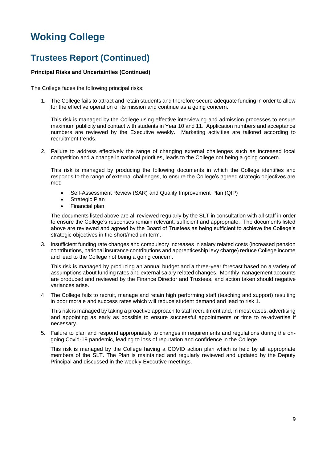# **Trustees Report (Continued)**

### **Principal Risks and Uncertainties (Continued)**

The College faces the following principal risks;

1. The College fails to attract and retain students and therefore secure adequate funding in order to allow for the effective operation of its mission and continue as a going concern.

This risk is managed by the College using effective interviewing and admission processes to ensure maximum publicity and contact with students in Year 10 and 11. Application numbers and acceptance numbers are reviewed by the Executive weekly. Marketing activities are tailored according to recruitment trends.

2. Failure to address effectively the range of changing external challenges such as increased local competition and a change in national priorities, leads to the College not being a going concern.

This risk is managed by producing the following documents in which the College identifies and responds to the range of external challenges, to ensure the College's agreed strategic objectives are met:

- Self-Assessment Review (SAR) and Quality Improvement Plan (QIP)
- **Strategic Plan**
- Financial plan

The documents listed above are all reviewed regularly by the SLT in consultation with all staff in order to ensure the College's responses remain relevant, sufficient and appropriate. The documents listed above are reviewed and agreed by the Board of Trustees as being sufficient to achieve the College's strategic objectives in the short/medium term.

3. Insufficient funding rate changes and compulsory increases in salary related costs (increased pension contributions, national insurance contributions and apprenticeship levy charge) reduce College income and lead to the College not being a going concern.

This risk is managed by producing an annual budget and a three-year forecast based on a variety of assumptions about funding rates and external salary related changes. Monthly management accounts are produced and reviewed by the Finance Director and Trustees, and action taken should negative variances arise.

4 The College fails to recruit, manage and retain high performing staff (teaching and support) resulting in poor morale and success rates which will reduce student demand and lead to risk 1.

This risk is managed by taking a proactive approach to staff recruitment and, in most cases, advertising and appointing as early as possible to ensure successful appointments or time to re-advertise if necessary.

5. Failure to plan and respond appropriately to changes in requirements and regulations during the ongoing Covid-19 pandemic, leading to loss of reputation and confidence in the College.

This risk is managed by the College having a COVID action plan which is held by all appropriate members of the SLT. The Plan is maintained and regularly reviewed and updated by the Deputy Principal and discussed in the weekly Executive meetings.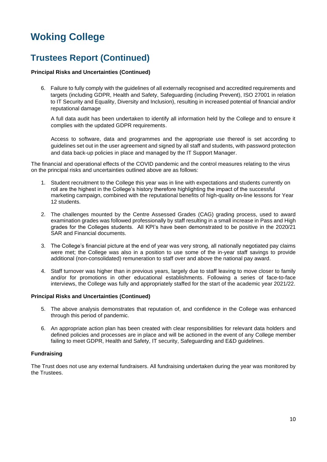# **Trustees Report (Continued)**

### **Principal Risks and Uncertainties (Continued)**

6. Failure to fully comply with the guidelines of all externally recognised and accredited requirements and targets (including GDPR, Health and Safety, Safeguarding (including Prevent), ISO 27001 in relation to IT Security and Equality, Diversity and Inclusion), resulting in increased potential of financial and/or reputational damage

A full data audit has been undertaken to identify all information held by the College and to ensure it complies with the updated GDPR requirements.

Access to software, data and programmes and the appropriate use thereof is set according to guidelines set out in the user agreement and signed by all staff and students, with password protection and data back-up policies in place and managed by the IT Support Manager.

The financial and operational effects of the COVID pandemic and the control measures relating to the virus on the principal risks and uncertainties outlined above are as follows:

- 1. Student recruitment to the College this year was in line with expectations and students currently on roll are the highest in the College's history therefore highlighting the impact of the successful marketing campaign, combined with the reputational benefits of high-quality on-line lessons for Year 12 students.
- 2. The challenges mounted by the Centre Assessed Grades (CAG) grading process, used to award examination grades was followed professionally by staff resulting in a small increase in Pass and High grades for the Colleges students. All KPI's have been demonstrated to be positive in the 2020/21 SAR and Financial documents.
- 3. The College's financial picture at the end of year was very strong, all nationally negotiated pay claims were met; the College was also in a position to use some of the in-year staff savings to provide additional (non-consolidated) remuneration to staff over and above the national pay award.
- 4. Staff turnover was higher than in previous years, largely due to staff leaving to move closer to family and/or for promotions in other educational establishments. Following a series of face-to-face interviews, the College was fully and appropriately staffed for the start of the academic year 2021/22.

#### **Principal Risks and Uncertainties (Continued)**

- 5. The above analysis demonstrates that reputation of, and confidence in the College was enhanced through this period of pandemic.
- 6. An appropriate action plan has been created with clear responsibilities for relevant data holders and defined policies and processes are in place and will be actioned in the event of any College member failing to meet GDPR, Health and Safety, IT security, Safeguarding and E&D guidelines.

## **Fundraising**

The Trust does not use any external fundraisers. All fundraising undertaken during the year was monitored by the Trustees.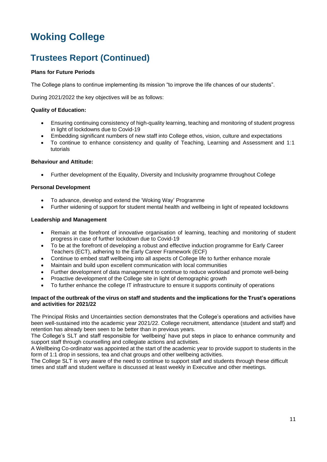# **Trustees Report (Continued)**

## **Plans for Future Periods**

The College plans to continue implementing its mission "to improve the life chances of our students".

During 2021/2022 the key objectives will be as follows:

### **Quality of Education:**

- Ensuring continuing consistency of high-quality learning, teaching and monitoring of student progress in light of lockdowns due to Covid-19
- Embedding significant numbers of new staff into College ethos, vision, culture and expectations
- To continue to enhance consistency and quality of Teaching, Learning and Assessment and 1:1 tutorials

### **Behaviour and Attitude:**

• Further development of the Equality, Diversity and Inclusivity programme throughout College

### **Personal Development**

- To advance, develop and extend the 'Woking Way' Programme
- Further widening of support for student mental health and wellbeing in light of repeated lockdowns

### **Leadership and Management**

- Remain at the forefront of innovative organisation of learning, teaching and monitoring of student progress in case of further lockdown due to Covid-19
- To be at the forefront of developing a robust and effective induction programme for Early Career Teachers (ECT), adhering to the Early Career Framework (ECF)
- Continue to embed staff wellbeing into all aspects of College life to further enhance morale
- Maintain and build upon excellent communication with local communities
- Further development of data management to continue to reduce workload and promote well-being
- Proactive development of the College site in light of demographic growth
- To further enhance the college IT infrastructure to ensure it supports continuity of operations

### **Impact of the outbreak of the virus on staff and students and the implications for the Trust's operations and activities for 2021/22**

The Principal Risks and Uncertainties section demonstrates that the College's operations and activities have been well-sustained into the academic year 2021/22. College recruitment, attendance (student and staff) and retention has already been seen to be better than in previous years.

The College's SLT and staff responsible for 'wellbeing' have put steps in place to enhance community and support staff through counselling and collegiate actions and activities.

A Wellbeing Co-ordinator was appointed at the start of the academic year to provide support to students in the form of 1:1 drop in sessions, tea and chat groups and other wellbeing activities.

The College SLT is very aware of the need to continue to support staff and students through these difficult times and staff and student welfare is discussed at least weekly in Executive and other meetings.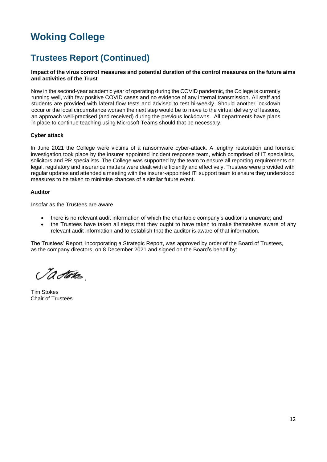# **Trustees Report (Continued)**

### **Impact of the virus control measures and potential duration of the control measures on the future aims and activities of the Trust**

Now in the second-year academic year of operating during the COVID pandemic, the College is currently running well, with few positive COVID cases and no evidence of any internal transmission. All staff and students are provided with lateral flow tests and advised to test bi-weekly. Should another lockdown occur or the local circumstance worsen the next step would be to move to the virtual delivery of lessons, an approach well-practised (and received) during the previous lockdowns. All departments have plans in place to continue teaching using Microsoft Teams should that be necessary.

## **Cyber attack**

In June 2021 the College were victims of a ransomware cyber-attack. A lengthy restoration and forensic investigation took place by the insurer appointed incident response team, which comprised of IT specialists, solicitors and PR specialists. The College was supported by the team to ensure all reporting requirements on legal, regulatory and insurance matters were dealt with efficiently and effectively. Trustees were provided with regular updates and attended a meeting with the insurer-appointed ITl support team to ensure they understood measures to be taken to minimise chances of a similar future event.

### **Auditor**

Insofar as the Trustees are aware

- there is no relevant audit information of which the charitable company's auditor is unaware; and
- the Trustees have taken all steps that they ought to have taken to make themselves aware of any relevant audit information and to establish that the auditor is aware of that information.

The Trustees' Report, incorporating a Strategic Report, was approved by order of the Board of Trustees, as the company directors, on 8 December 2021 and signed on the Board's behalf by:

Tastókes

Tim Stokes Chair of Trustees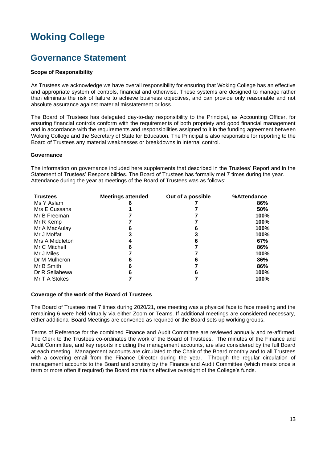# **Governance Statement**

## **Scope of Responsibility**

As Trustees we acknowledge we have overall responsibility for ensuring that Woking College has an effective and appropriate system of controls, financial and otherwise. These systems are designed to manage rather than eliminate the risk of failure to achieve business objectives, and can provide only reasonable and not absolute assurance against material misstatement or loss.

The Board of Trustees has delegated day-to-day responsibility to the Principal, as Accounting Officer, for ensuring financial controls conform with the requirements of both propriety and good financial management and in accordance with the requirements and responsibilities assigned to it in the funding agreement between Woking College and the Secretary of State for Education. The Principal is also responsible for reporting to the Board of Trustees any material weaknesses or breakdowns in internal control.

## **Governance**

The information on governance included here supplements that described in the Trustees' Report and in the Statement of Trustees' Responsibilities. The Board of Trustees has formally met 7 times during the year. Attendance during the year at meetings of the Board of Trustees was as follows:

| <b>Trustees</b> | <b>Meetings attended</b> | Out of a possible | %Attendance |
|-----------------|--------------------------|-------------------|-------------|
| Ms Y Aslam      | 6                        |                   | 86%         |
| Mrs E Cussans   |                          |                   | 50%         |
| Mr B Freeman    |                          |                   | 100%        |
| Mr R Kemp       |                          |                   | 100%        |
| Mr A MacAulay   | 6                        |                   | 100%        |
| Mr J Moffat     |                          |                   | 100%        |
| Mrs A Middleton |                          | 6                 | 67%         |
| Mr C Mitchell   | 6                        |                   | 86%         |
| Mr J Miles      |                          |                   | 100%        |
| Dr M Mulheron   | 6                        | 6                 | 86%         |
| Mr B Smith      | 6                        |                   | 86%         |
| Dr R Sellahewa  | 6                        | 6                 | 100%        |
| Mr T A Stokes   |                          |                   | 100%        |

## **Coverage of the work of the Board of Trustees**

The Board of Trustees met 7 times during 2020/21, one meeting was a physical face to face meeting and the remaining 6 were held virtually via either Zoom or Teams. If additional meetings are considered necessary, either additional Board Meetings are convened as required or the Board sets up working groups.

Terms of Reference for the combined Finance and Audit Committee are reviewed annually and re-affirmed. The Clerk to the Trustees co-ordinates the work of the Board of Trustees. The minutes of the Finance and Audit Committee, and key reports including the management accounts, are also considered by the full Board at each meeting. Management accounts are circulated to the Chair of the Board monthly and to all Trustees with a covering email from the Finance Director during the year. Through the regular circulation of management accounts to the Board and scrutiny by the Finance and Audit Committee (which meets once a term or more often if required) the Board maintains effective oversight of the College's funds.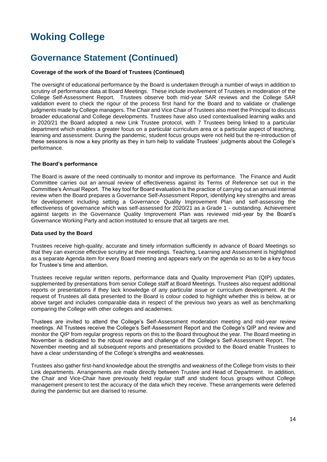# **Governance Statement (Continued)**

### **Coverage of the work of the Board of Trustees (Continued)**

The oversight of educational performance by the Board is undertaken through a number of ways in addition to scrutiny of performance data at Board Meetings. These include involvement of Trustees in moderation of the College Self-Assessment Report. Trustees observe both mid-year SAR reviews and the College SAR validation event to check the rigour of the process first hand for the Board and to validate or challenge judgments made by College managers. The Chair and Vice Chair of Trustees also meet the Principal to discuss broader educational and College developments. Trustees have also used contextualised learning walks and in 2020/21 the Board adopted a new Link Trustee protocol, with 7 Trustees being linked to a particular department which enables a greater focus on a particular curriculum area or a particular aspect of teaching, learning and assessment. During the pandemic, student focus groups were not held but the re-introduction of these sessions is now a key priority as they in turn help to validate Trustees' judgments about the College's performance.

#### **The Board's performance**

The Board is aware of the need continually to monitor and improve its performance. The Finance and Audit Committee carries out an annual review of effectiveness against its Terms of Reference set out in the Committee's Annual Report. The key tool for Board evaluation is the practice of carrying out an annual internal review when the Board prepares a Governance Self-Assessment Report, identifying key strengths and areas for development including setting a Governance Quality Improvement Plan and self-assessing the effectiveness of governance which was self-assessed for 2020/21 as a Grade 1 - outstanding. Achievement against targets in the Governance Quality Improvement Plan was reviewed mid-year by the Board's Governance Working Party and action instituted to ensure that all targets are met.

#### **Data used by the Board**

Trustees receive high-quality, accurate and timely information sufficiently in advance of Board Meetings so that they can exercise effective scrutiny at their meetings. Teaching, Learning and Assessment is highlighted as a separate Agenda item for every Board meeting and appears early on the agenda so as to be a key focus for Trustee's time and attention.

Trustees receive regular written reports, performance data and Quality Improvement Plan (QIP) updates, supplemented by presentations from senior College staff at Board Meetings. Trustees also request additional reports or presentations if they lack knowledge of any particular issue or curriculum development. At the request of Trustees all data presented to the Board is colour coded to highlight whether this is below, at or above target and includes comparable data in respect of the previous two years as well as benchmarking comparing the College with other colleges and academies.

Trustees are invited to attend the College's Self-Assessment moderation meeting and mid-year review meetings. All Trustees receive the College's Self-Assessment Report and the College's QIP and review and monitor the QIP from regular progress reports on this to the Board throughout the year. The Board meeting in November is dedicated to the robust review and challenge of the College's Self-Assessment Report. The November meeting and all subsequent reports and presentations provided to the Board enable Trustees to have a clear understanding of the College's strengths and weaknesses.

Trustees also gather first-hand knowledge about the strengths and weakness of the College from visits to their Link departments. Arrangements are made directly between Trustee and Head of Department. In addition, the Chair and Vice-Chair have previously held regular staff and student focus groups without College management present to test the accuracy of the data which they receive. These arrangements were deferred during the pandemic but are diarised to resume.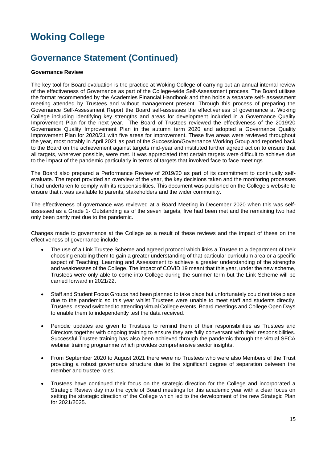# **Governance Statement (Continued)**

### **Governance Review**

The key tool for Board evaluation is the practice at Woking College of carrying out an annual internal review of the effectiveness of Governance as part of the College-wide Self-Assessment process. The Board utilises the format recommended by the Academies Financial Handbook and then holds a separate self- assessment meeting attended by Trustees and without management present. Through this process of preparing the Governance Self-Assessment Report the Board self-assesses the effectiveness of governance at Woking College including identifying key strengths and areas for development included in a Governance Quality Improvement Plan for the next year. The Board of Trustees reviewed the effectiveness of the 2019/20 Governance Quality Improvement Plan in the autumn term 2020 and adopted a Governance Quality Improvement Plan for 2020/21 with five areas for improvement. These five areas were reviewed throughout the year, most notably in April 2021 as part of the Succession/Governance Working Group and reported back to the Board on the achievement against targets mid-year and instituted further agreed action to ensure that all targets, wherever possible, were met. It was appreciated that certain targets were difficult to achieve due to the impact of the pandemic particularly in terms of targets that involved face to face meetings.

The Board also prepared a Performance Review of 2019/20 as part of its commitment to continually selfevaluate. The report provided an overview of the year, the key decisions taken and the monitoring processes it had undertaken to comply with its responsibilities. This document was published on the College's website to ensure that it was available to parents, stakeholders and the wider community.

The effectiveness of governance was reviewed at a Board Meeting in December 2020 when this was selfassessed as a Grade 1- Outstanding as of the seven targets, five had been met and the remaining two had only been partly met due to the pandemic.

Changes made to governance at the College as a result of these reviews and the impact of these on the effectiveness of governance include:

- The use of a Link Trustee Scheme and agreed protocol which links a Trustee to a department of their choosing enabling them to gain a greater understanding of that particular curriculum area or a specific aspect of Teaching, Learning and Assessment to achieve a greater understanding of the strengths and weaknesses of the College. The impact of COVID 19 meant that this year, under the new scheme, Trustees were only able to come into College during the summer term but the Link Scheme will be carried forward in 2021/22.
- Staff and Student Focus Groups had been planned to take place but unfortunately could not take place due to the pandemic so this year whilst Trustees were unable to meet staff and students directly, Trustees instead switched to attending virtual College events, Board meetings and College Open Days to enable them to independently test the data received.
- Periodic updates are given to Trustees to remind them of their responsibilities as Trustees and Directors together with ongoing training to ensure they are fully conversant with their responsibilities. Successful Trustee training has also been achieved through the pandemic through the virtual SFCA webinar training programme which provides comprehensive sector insights.
- From September 2020 to August 2021 there were no Trustees who were also Members of the Trust providing a robust governance structure due to the significant degree of separation between the member and trustee roles.
- Trustees have continued their focus on the strategic direction for the College and incorporated a Strategic Review day into the cycle of Board meetings for this academic year with a clear focus on setting the strategic direction of the College which led to the development of the new Strategic Plan for 2021/2025.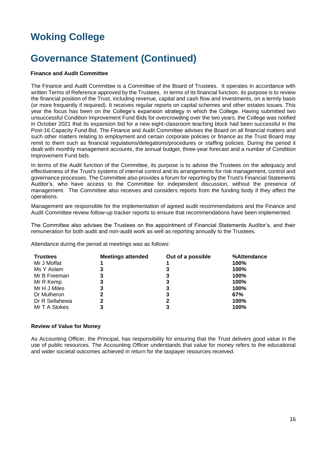# **Governance Statement (Continued)**

#### **Finance and Audit Committee**

The Finance and Audit Committee is a Committee of the Board of Trustees. It operates in accordance with written Terms of Reference approved by the Trustees. In terms of its financial function, its purpose is to review the financial position of the Trust, including revenue, capital and cash flow and investments, on a termly basis (or more frequently if required). It receives regular reports on capital schemes and other estates issues. This year the focus has been on the College's expansion strategy in which the College. Having submitted two unsuccessful Condition Improvement Fund Bids for overcrowding over the two years, the College was notified in October 2021 that its expansion bid for a new eight-classroom teaching block had been successful in the Post-16 Capacity Fund Bid. The Finance and Audit Committee advises the Board on all financial matters and such other matters relating to employment and certain corporate policies or finance as the Trust Board may remit to them such as financial regulations/delegations/procedures or staffing policies. During the period it dealt with monthly management accounts, the annual budget, three-year forecast and a number of Condition Improvement Fund bids.

In terms of the Audit function of the Committee, its purpose is to advise the Trustees on the adequacy and effectiveness of the Trust's systems of internal control and its arrangements for risk management, control and governance processes. The Committee also provides a forum for reporting by the Trust's Financial Statements Auditor's, who have access to the Committee for independent discussion, without the presence of management. The Committee also receives and considers reports from the funding body if they affect the operations.

Management are responsible for the implementation of agreed audit recommendations and the Finance and Audit Committee review follow-up tracker reports to ensure that recommendations have been implemented.

The Committee also advises the Trustees on the appointment of Financial Statements Auditor's, and their remuneration for both audit and non-audit work as well as reporting annually to the Trustees.

Attendance during the period at meetings was as follows:

| <b>Trustees</b> | <b>Meetings attended</b> | Out of a possible | %Attendance |
|-----------------|--------------------------|-------------------|-------------|
| Mr J Moffat     |                          |                   | 100%        |
| Ms Y Aslam      |                          | 3                 | 100%        |
| Mr B Freeman    | 3                        | 3                 | 100%        |
| Mr R Kemp       | 3                        | 3                 | 100%        |
| Mr H J Miles    | 3                        | 3                 | 100%        |
| Dr Mulheron     | 2                        | 3                 | 67%         |
| Dr R Sellahewa  | 2                        |                   | 100%        |
| Mr T A Stokes   |                          |                   | 100%        |

#### **Review of Value for Money**

As Accounting Officer, the Principal, has responsibility for ensuring that the Trust delivers good value in the use of public resources. The Accounting Officer understands that value for money refers to the educational and wider societal outcomes achieved in return for the taxpayer resources received.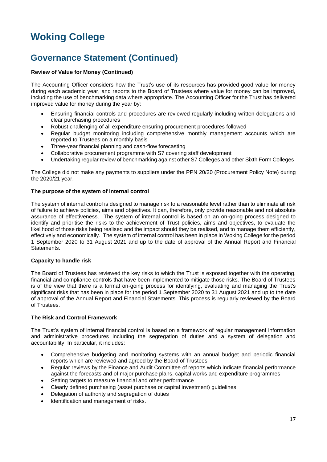# **Governance Statement (Continued)**

## **Review of Value for Money (Continued)**

The Accounting Officer considers how the Trust's use of its resources has provided good value for money during each academic year, and reports to the Board of Trustees where value for money can be improved, including the use of benchmarking data where appropriate. The Accounting Officer for the Trust has delivered improved value for money during the year by:

- Ensuring financial controls and procedures are reviewed regularly including written delegations and clear purchasing procedures
- Robust challenging of all expenditure ensuring procurement procedures followed
- Regular budget monitoring including comprehensive monthly management accounts which are reported to Trustees on a monthly basis
- Three-year financial planning and cash-flow forecasting
- Collaborative procurement programme with S7 covering staff development
- Undertaking regular review of benchmarking against other S7 Colleges and other Sixth Form Colleges.

The College did not make any payments to suppliers under the PPN 20/20 (Procurement Policy Note) during the 2020/21 year.

### **The purpose of the system of internal control**

The system of internal control is designed to manage risk to a reasonable level rather than to eliminate all risk of failure to achieve policies, aims and objectives. It can, therefore, only provide reasonable and not absolute assurance of effectiveness. The system of internal control is based on an on-going process designed to identify and prioritise the risks to the achievement of Trust policies, aims and objectives, to evaluate the likelihood of those risks being realised and the impact should they be realised, and to manage them efficiently, effectively and economically. The system of internal control has been in place in Woking College for the period 1 September 2020 to 31 August 2021 and up to the date of approval of the Annual Report and Financial Statements.

#### **Capacity to handle risk**

The Board of Trustees has reviewed the key risks to which the Trust is exposed together with the operating, financial and compliance controls that have been implemented to mitigate those risks. The Board of Trustees is of the view that there is a formal on-going process for identifying, evaluating and managing the Trust's significant risks that has been in place for the period 1 September 2020 to 31 August 2021 and up to the date of approval of the Annual Report and Financial Statements. This process is regularly reviewed by the Board of Trustees.

## **The Risk and Control Framework**

The Trust's system of internal financial control is based on a framework of regular management information and administrative procedures including the segregation of duties and a system of delegation and accountability. In particular, it includes:

- Comprehensive budgeting and monitoring systems with an annual budget and periodic financial reports which are reviewed and agreed by the Board of Trustees
- Regular reviews by the Finance and Audit Committee of reports which indicate financial performance against the forecasts and of major purchase plans, capital works and expenditure programmes
- Setting targets to measure financial and other performance
- Clearly defined purchasing (asset purchase or capital investment) guidelines
- Delegation of authority and segregation of duties
- Identification and management of risks.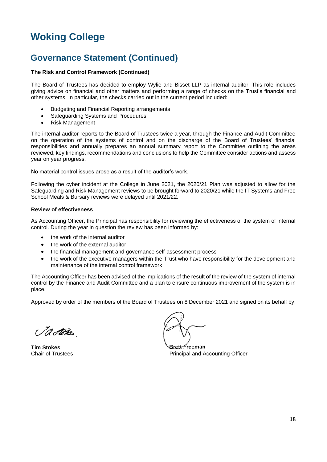# **Governance Statement (Continued)**

### **The Risk and Control Framework (Continued)**

The Board of Trustees has decided to employ Wylie and Bisset LLP as internal auditor. This role includes giving advice on financial and other matters and performing a range of checks on the Trust's financial and other systems. In particular, the checks carried out in the current period included:

- Budgeting and Financial Reporting arrangements
- Safeguarding Systems and Procedures
- Risk Management

The internal auditor reports to the Board of Trustees twice a year, through the Finance and Audit Committee on the operation of the systems of control and on the discharge of the Board of Trustees' financial responsibilities and annually prepares an annual summary report to the Committee outlining the areas reviewed, key findings, recommendations and conclusions to help the Committee consider actions and assess year on year progress.

No material control issues arose as a result of the auditor's work.

Following the cyber incident at the College in June 2021, the 2020/21 Plan was adjusted to allow for the Safeguarding and Risk Management reviews to be brought forward to 2020/21 while the IT Systems and Free School Meals & Bursary reviews were delayed until 2021/22.

### **Review of effectiveness**

As Accounting Officer, the Principal has responsibility for reviewing the effectiveness of the system of internal control. During the year in question the review has been informed by:

- the work of the internal auditor
- the work of the external auditor
- the financial management and governance self-assessment process
- the work of the executive managers within the Trust who have responsibility for the development and maintenance of the internal control framework

The Accounting Officer has been advised of the implications of the result of the review of the system of internal control by the Finance and Audit Committee and a plan to ensure continuous improvement of the system is in place.

Approved by order of the members of the Board of Trustees on 8 December 2021 and signed on its behalf by:

Tastokes

**Tim Stokes Brett Freeman** 

Chair of Trustees **Principal and Accounting Officer** Principal and Accounting Officer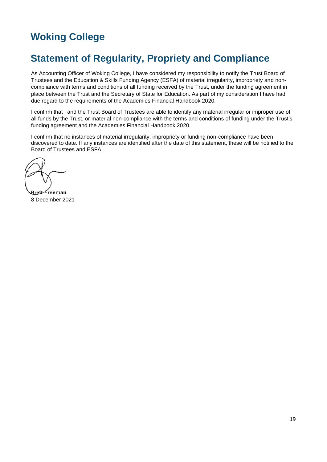# **Statement of Regularity, Propriety and Compliance**

As Accounting Officer of Woking College, I have considered my responsibility to notify the Trust Board of Trustees and the Education & Skills Funding Agency (ESFA) of material irregularity, impropriety and noncompliance with terms and conditions of all funding received by the Trust, under the funding agreement in place between the Trust and the Secretary of State for Education. As part of my consideration I have had due regard to the requirements of the Academies Financial Handbook 2020.

I confirm that I and the Trust Board of Trustees are able to identify any material irregular or improper use of all funds by the Trust, or material non-compliance with the terms and conditions of funding under the Trust's funding agreement and the Academies Financial Handbook 2020.

I confirm that no instances of material irregularity, impropriety or funding non-compliance have been discovered to date. If any instances are identified after the date of this statement, these will be notified to the Board of Trustees and ESFA.

Brett≁Freeman 8 December 2021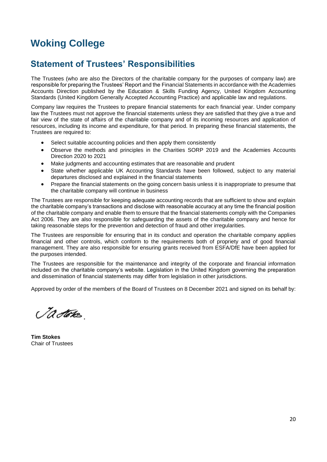# **Statement of Trustees' Responsibilities**

The Trustees (who are also the Directors of the charitable company for the purposes of company law) are responsible for preparing the Trustees' Report and the Financial Statements in accordance with the Academies Accounts Direction published by the Education & Skills Funding Agency, United Kingdom Accounting Standards (United Kingdom Generally Accepted Accounting Practice) and applicable law and regulations.

Company law requires the Trustees to prepare financial statements for each financial year. Under company law the Trustees must not approve the financial statements unless they are satisfied that they give a true and fair view of the state of affairs of the charitable company and of its incoming resources and application of resources, including its income and expenditure, for that period. In preparing these financial statements, the Trustees are required to:

- Select suitable accounting policies and then apply them consistently
- Observe the methods and principles in the Charities SORP 2019 and the Academies Accounts Direction 2020 to 2021
- Make judgments and accounting estimates that are reasonable and prudent
- State whether applicable UK Accounting Standards have been followed, subject to any material departures disclosed and explained in the financial statements
- Prepare the financial statements on the going concern basis unless it is inappropriate to presume that the charitable company will continue in business

The Trustees are responsible for keeping adequate accounting records that are sufficient to show and explain the charitable company's transactions and disclose with reasonable accuracy at any time the financial position of the charitable company and enable them to ensure that the financial statements comply with the Companies Act 2006. They are also responsible for safeguarding the assets of the charitable company and hence for taking reasonable steps for the prevention and detection of fraud and other irregularities.

The Trustees are responsible for ensuring that in its conduct and operation the charitable company applies financial and other controls, which conform to the requirements both of propriety and of good financial management. They are also responsible for ensuring grants received from ESFA/DfE have been applied for the purposes intended.

The Trustees are responsible for the maintenance and integrity of the corporate and financial information included on the charitable company's website. Legislation in the United Kingdom governing the preparation and dissemination of financial statements may differ from legislation in other jurisdictions.

Approved by order of the members of the Board of Trustees on 8 December 2021 and signed on its behalf by:

Tastóke

**Tim Stokes** Chair of Trustees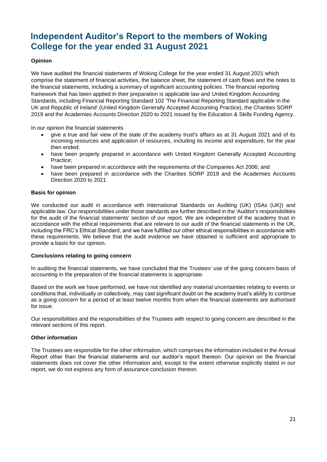# **Independent Auditor's Report to the members of Woking College for the year ended 31 August 2021**

## **Opinion**

We have audited the financial statements of Woking College for the year ended 31 August 2021 which comprise the statement of financial activities, the balance sheet, the statement of cash flows and the notes to the financial statements, including a summary of significant accounting policies. The financial reporting framework that has been applied in their preparation is applicable law and United Kingdom Accounting Standards, including Financial Reporting Standard 102 'The Financial Reporting Standard applicable in the UK and Republic of Ireland' (United Kingdom Generally Accepted Accounting Practice), the Charities SORP 2019 and the Academies Accounts Direction 2020 to 2021 issued by the Education & Skills Funding Agency.

In our opinion the financial statements

- give a true and fair view of the state of the academy trust's affairs as at 31 August 2021 and of its incoming resources and application of resources, including its income and expenditure, for the year then ended;
- have been properly prepared in accordance with United Kingdom Generally Accepted Accounting Practice;
- have been prepared in accordance with the requirements of the Companies Act 2006; and
- have been prepared in accordance with the Charities SORP 2019 and the Academies Accounts Direction 2020 to 2021

## **Basis for opinion**

We conducted our audit in accordance with International Standards on Auditing (UK) (ISAs (UK)) and applicable law. Our responsibilities under those standards are further described in the 'Auditor's responsibilities for the audit of the financial statements' section of our report. We are independent of the academy trust in accordance with the ethical requirements that are relevant to our audit of the financial statements in the UK, including the FRC's Ethical Standard, and we have fulfilled our other ethical responsibilities in accordance with these requirements. We believe that the audit evidence we have obtained is sufficient and appropriate to provide a basis for our opinion.

#### **Conclusions relating to going concern**

In auditing the financial statements, we have concluded that the Trustees' use of the going concern basis of accounting in the preparation of the financial statements is appropriate.

Based on the work we have performed, we have not identified any material uncertainties relating to events or conditions that, individually or collectively, may cast significant doubt on the academy trust's ability to continue as a going concern for a period of at least twelve months from when the financial statements are authorised for issue.

Our responsibilities and the responsibilities of the Trustees with respect to going concern are described in the relevant sections of this report.

## **Other information**

The Trustees are responsible for the other information, which comprises the information included in the Annual Report other than the financial statements and our auditor's report thereon. Our opinion on the financial statements does not cover the other information and, except to the extent otherwise explicitly stated in our report, we do not express any form of assurance conclusion thereon.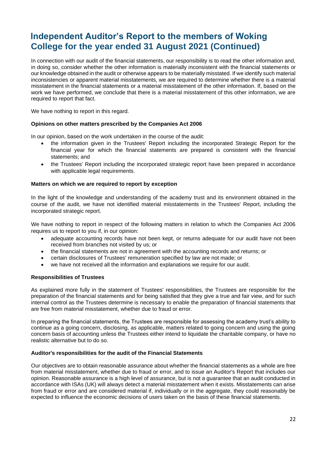# **Independent Auditor's Report to the members of Woking College for the year ended 31 August 2021 (Continued)**

In connection with our audit of the financial statements, our responsibility is to read the other information and, in doing so, consider whether the other information is materially inconsistent with the financial statements or our knowledge obtained in the audit or otherwise appears to be materially misstated. If we identify such material inconsistencies or apparent material misstatements, we are required to determine whether there is a material misstatement in the financial statements or a material misstatement of the other information. If, based on the work we have performed, we conclude that there is a material misstatement of this other information, we are required to report that fact.

We have nothing to report in this regard.

### **Opinions on other matters prescribed by the Companies Act 2006**

In our opinion, based on the work undertaken in the course of the audit:

- the information given in the Trustees' Report including the incorporated Strategic Report for the financial year for which the financial statements are prepared is consistent with the financial statements; and
- the Trustees' Report including the incorporated strategic report have been prepared in accordance with applicable legal requirements.

### **Matters on which we are required to report by exception**

In the light of the knowledge and understanding of the academy trust and its environment obtained in the course of the audit, we have not identified material misstatements in the Trustees' Report, including the incorporated strategic report.

We have nothing to report in respect of the following matters in relation to which the Companies Act 2006 requires us to report to you if, in our opinion:

- adequate accounting records have not been kept, or returns adequate for our audit have not been received from branches not visited by us; or
- the financial statements are not in agreement with the accounting records and returns; or
- certain disclosures of Trustees' remuneration specified by law are not made; or
- we have not received all the information and explanations we require for our audit.

#### **Responsibilities of Trustees**

As explained more fully in the statement of Trustees' responsibilities, the Trustees are responsible for the preparation of the financial statements and for being satisfied that they give a true and fair view, and for such internal control as the Trustees determine is necessary to enable the preparation of financial statements that are free from material misstatement, whether due to fraud or error.

In preparing the financial statements, the Trustees are responsible for assessing the academy trust's ability to continue as a going concern, disclosing, as applicable, matters related to going concern and using the going concern basis of accounting unless the Trustees either intend to liquidate the charitable company, or have no realistic alternative but to do so.

#### **Auditor's responsibilities for the audit of the Financial Statements**

Our objectives are to obtain reasonable assurance about whether the financial statements as a whole are free from material misstatement, whether due to fraud or error, and to issue an Auditor's Report that includes our opinion. Reasonable assurance is a high level of assurance, but is not a guarantee that an audit conducted in accordance with ISAs (UK) will always detect a material misstatement when it exists. Misstatements can arise from fraud or error and are considered material if, individually or in the aggregate, they could reasonably be expected to influence the economic decisions of users taken on the basis of these financial statements.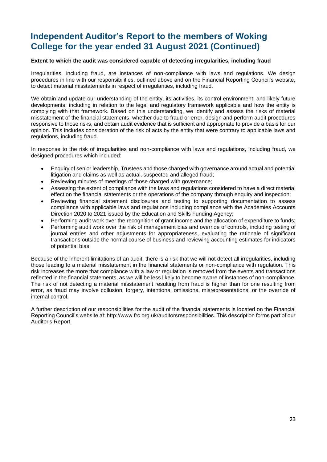# **Independent Auditor's Report to the members of Woking College for the year ended 31 August 2021 (Continued)**

### **Extent to which the audit was considered capable of detecting irregularities, including fraud**

Irregularities, including fraud, are instances of non-compliance with laws and regulations. We design procedures in line with our responsibilities, outlined above and on the Financial Reporting Council's website, to detect material misstatements in respect of irregularities, including fraud.

We obtain and update our understanding of the entity, its activities, its control environment, and likely future developments, including in relation to the legal and regulatory framework applicable and how the entity is complying with that framework. Based on this understanding, we identify and assess the risks of material misstatement of the financial statements, whether due to fraud or error, design and perform audit procedures responsive to those risks, and obtain audit evidence that is sufficient and appropriate to provide a basis for our opinion. This includes consideration of the risk of acts by the entity that were contrary to applicable laws and regulations, including fraud.

In response to the risk of irregularities and non-compliance with laws and regulations, including fraud, we designed procedures which included:

- Enquiry of senior leadership, Trustees and those charged with governance around actual and potential litigation and claims as well as actual, suspected and alleged fraud;
- Reviewing minutes of meetings of those charged with governance;
- Assessing the extent of compliance with the laws and regulations considered to have a direct material effect on the financial statements or the operations of the company through enquiry and inspection;
- Reviewing financial statement disclosures and testing to supporting documentation to assess compliance with applicable laws and regulations including compliance with the Academies Accounts Direction 2020 to 2021 issued by the Education and Skills Funding Agency;
- Performing audit work over the recognition of grant income and the allocation of expenditure to funds;
- Performing audit work over the risk of management bias and override of controls, including testing of journal entries and other adjustments for appropriateness, evaluating the rationale of significant transactions outside the normal course of business and reviewing accounting estimates for indicators of potential bias.

Because of the inherent limitations of an audit, there is a risk that we will not detect all irregularities, including those leading to a material misstatement in the financial statements or non-compliance with regulation. This risk increases the more that compliance with a law or regulation is removed from the events and transactions reflected in the financial statements, as we will be less likely to become aware of instances of non-compliance. The risk of not detecting a material misstatement resulting from fraud is higher than for one resulting from error, as fraud may involve collusion, forgery, intentional omissions, misrepresentations, or the override of internal control.

A further description of our responsibilities for the audit of the financial statements is located on the Financial Reporting Council's website at: http://www.frc.org.uk/auditorsresponsibilities. This description forms part of our Auditor's Report.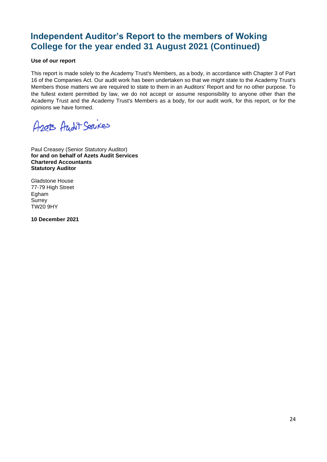# **Independent Auditor's Report to the members of Woking College for the year ended 31 August 2021 (Continued)**

### **Use of our report**

This report is made solely to the Academy Trust's Members, as a body, in accordance with Chapter 3 of Part 16 of the Companies Act. Our audit work has been undertaken so that we might state to the Academy Trust's Members those matters we are required to state to them in an Auditors' Report and for no other purpose. To the fullest extent permitted by law, we do not accept or assume responsibility to anyone other than the Academy Trust and the Academy Trust's Members as a body, for our audit work, for this report, or for the opinions we have formed.

Azets Audit Services

Paul Creasey (Senior Statutory Auditor) **for and on behalf of Azets Audit Services Chartered Accountants Statutory Auditor**

Gladstone House 77-79 High Street Egham **Surrey** TW20 9HY

**10 December 2021**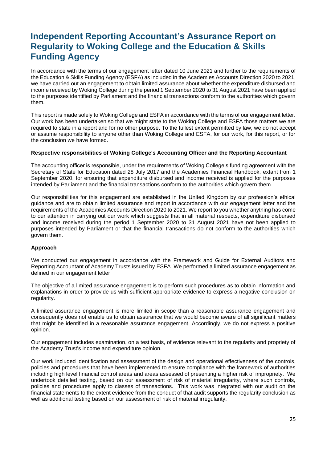# **Independent Reporting Accountant's Assurance Report on Regularity to Woking College and the Education & Skills Funding Agency**

In accordance with the terms of our engagement letter dated 10 June 2021 and further to the requirements of the Education & Skills Funding Agency (ESFA) as included in the Academies Accounts Direction 2020 to 2021, we have carried out an engagement to obtain limited assurance about whether the expenditure disbursed and income received by Woking College during the period 1 September 2020 to 31 August 2021 have been applied to the purposes identified by Parliament and the financial transactions conform to the authorities which govern them.

This report is made solely to Woking College and ESFA in accordance with the terms of our engagement letter. Our work has been undertaken so that we might state to the Woking College and ESFA those matters we are required to state in a report and for no other purpose. To the fullest extent permitted by law, we do not accept or assume responsibility to anyone other than Woking College and ESFA, for our work, for this report, or for the conclusion we have formed.

### **Respective responsibilities of Woking College's Accounting Officer and the Reporting Accountant**

The accounting officer is responsible, under the requirements of Woking College's funding agreement with the Secretary of State for Education dated 28 July 2017 and the Academies Financial Handbook, extant from 1 September 2020, for ensuring that expenditure disbursed and income received is applied for the purposes intended by Parliament and the financial transactions conform to the authorities which govern them.

Our responsibilities for this engagement are established in the United Kingdom by our profession's ethical guidance and are to obtain limited assurance and report in accordance with our engagement letter and the requirements of the Academies Accounts Direction 2020 to 2021. We report to you whether anything has come to our attention in carrying out our work which suggests that in all material respects, expenditure disbursed and income received during the period 1 September 2020 to 31 August 2021 have not been applied to purposes intended by Parliament or that the financial transactions do not conform to the authorities which govern them.

## **Approach**

We conducted our engagement in accordance with the Framework and Guide for External Auditors and Reporting Accountant of Academy Trusts issued by ESFA. We performed a limited assurance engagement as defined in our engagement letter

The objective of a limited assurance engagement is to perform such procedures as to obtain information and explanations in order to provide us with sufficient appropriate evidence to express a negative conclusion on regularity.

A limited assurance engagement is more limited in scope than a reasonable assurance engagement and consequently does not enable us to obtain assurance that we would become aware of all significant matters that might be identified in a reasonable assurance engagement. Accordingly, we do not express a positive opinion.

Our engagement includes examination, on a test basis, of evidence relevant to the regularity and propriety of the Academy Trust's income and expenditure opinion.

Our work included identification and assessment of the design and operational effectiveness of the controls, policies and procedures that have been implemented to ensure compliance with the framework of authorities including high level financial control areas and areas assessed of presenting a higher risk of impropriety. We undertook detailed testing, based on our assessment of risk of material irregularity, where such controls, policies and procedures apply to classes of transactions. This work was integrated with our audit on the financial statements to the extent evidence from the conduct of that audit supports the regularity conclusion as well as additional testing based on our assessment of risk of material irregularity.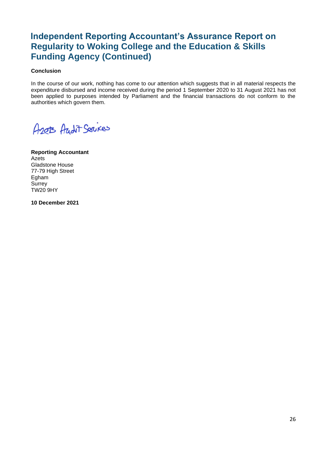# **Independent Reporting Accountant's Assurance Report on Regularity to Woking College and the Education & Skills Funding Agency (Continued)**

## **Conclusion**

In the course of our work, nothing has come to our attention which suggests that in all material respects the expenditure disbursed and income received during the period 1 September 2020 to 31 August 2021 has not been applied to purposes intended by Parliament and the financial transactions do not conform to the authorities which govern them.

Azets Audit Services

**Reporting Accountant** Azets Gladstone House 77-79 High Street Egham **Surrey** TW20 9HY

**10 December 2021**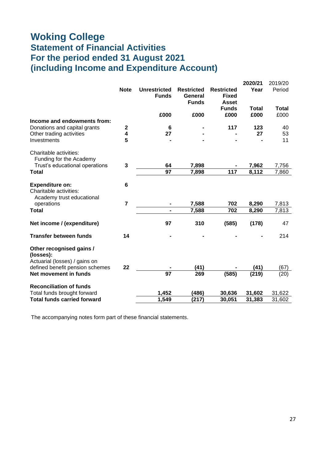# **Woking College Statement of Financial Activities For the period ended 31 August 2021 (including Income and Expenditure Account)**

|                                                                               |                |                                     |                                              |                                                   | 2020/21      | 2019/20      |
|-------------------------------------------------------------------------------|----------------|-------------------------------------|----------------------------------------------|---------------------------------------------------|--------------|--------------|
|                                                                               | <b>Note</b>    | <b>Unrestricted</b><br><b>Funds</b> | <b>Restricted</b><br>General<br><b>Funds</b> | <b>Restricted</b><br><b>Fixed</b><br><b>Asset</b> | Year         | Period       |
|                                                                               |                |                                     |                                              | <b>Funds</b>                                      | <b>Total</b> | <b>Total</b> |
|                                                                               |                | £000                                | £000                                         | £000                                              | £000         | £000         |
| Income and endowments from:<br>Donations and capital grants                   | $\mathbf 2$    | 6                                   |                                              | 117                                               | 123          | 40           |
| Other trading activities                                                      | 4              | 27                                  |                                              |                                                   | 27           | 53           |
| Investments                                                                   | 5              |                                     |                                              |                                                   |              | 11           |
| Charitable activities:<br>Funding for the Academy                             |                |                                     |                                              |                                                   |              |              |
| Trust's educational operations                                                | 3              | 64                                  | 7,898                                        |                                                   | 7,962        | 7,756        |
| <b>Total</b>                                                                  |                | 97                                  | 7,898                                        | 117                                               | 8,112        | 7,860        |
| <b>Expenditure on:</b><br>Charitable activities:<br>Academy trust educational | 6              |                                     |                                              |                                                   |              |              |
| operations                                                                    | $\overline{7}$ |                                     | 7,588                                        | 702                                               | 8,290        | 7,813        |
| <b>Total</b>                                                                  |                | $\blacksquare$                      | 7,588                                        | 702                                               | 8,290        | 7,813        |
| Net income / (expenditure)                                                    |                | 97                                  | 310                                          | (585)                                             | (178)        | 47           |
| <b>Transfer between funds</b>                                                 | 14             |                                     |                                              |                                                   |              | 214          |
| Other recognised gains /<br>(losses):<br>Actuarial (losses) / gains on        |                |                                     |                                              |                                                   |              |              |
| defined benefit pension schemes                                               | 22             |                                     | (41)                                         |                                                   | (41)         | (67)         |
| Net movement in funds                                                         |                | 97                                  | 269                                          | (585)                                             | (219)        | (20)         |
| <b>Reconciliation of funds</b>                                                |                |                                     |                                              |                                                   |              |              |
| Total funds brought forward                                                   |                | 1,452                               | (486)                                        | 30,636                                            | 31,602       | 31,622       |
| <b>Total funds carried forward</b>                                            |                | 1,549                               | (217)                                        | 30,051                                            | 31,383       | 31,602       |

The accompanying notes form part of these financial statements.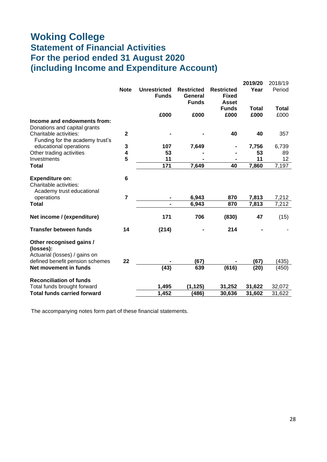# **Woking College Statement of Financial Activities For the period ended 31 August 2020 (including Income and Expenditure Account)**

|                                                  |                |                                     |                                              |                                                   | 2019/20      | 2018/19      |
|--------------------------------------------------|----------------|-------------------------------------|----------------------------------------------|---------------------------------------------------|--------------|--------------|
|                                                  | <b>Note</b>    | <b>Unrestricted</b><br><b>Funds</b> | <b>Restricted</b><br>General<br><b>Funds</b> | <b>Restricted</b><br><b>Fixed</b><br><b>Asset</b> | Year         | Period       |
|                                                  |                |                                     |                                              | <b>Funds</b>                                      | <b>Total</b> | <b>Total</b> |
|                                                  |                | £000                                | £000                                         | £000                                              | £000         | £000         |
| Income and endowments from:                      |                |                                     |                                              |                                                   |              |              |
| Donations and capital grants                     |                |                                     |                                              |                                                   |              |              |
| Charitable activities:                           | $\mathbf{2}$   |                                     |                                              | 40                                                | 40           | 357          |
| Funding for the academy trust's                  |                |                                     |                                              |                                                   |              |              |
| educational operations                           | 3              | 107                                 | 7,649                                        |                                                   | 7,756        | 6,739        |
| Other trading activities                         | 4              | 53                                  |                                              |                                                   | 53           | 89           |
| Investments                                      | 5              | 11                                  |                                              |                                                   | 11           | 12           |
| <b>Total</b>                                     |                | 171                                 | 7,649                                        | 40                                                | 7,860        | 7,197        |
|                                                  | 6              |                                     |                                              |                                                   |              |              |
| <b>Expenditure on:</b><br>Charitable activities: |                |                                     |                                              |                                                   |              |              |
| Academy trust educational                        |                |                                     |                                              |                                                   |              |              |
| operations                                       | $\overline{7}$ |                                     | 6,943                                        | 870                                               | 7,813        | 7,212        |
| <b>Total</b>                                     |                | $\blacksquare$                      | 6,943                                        | 870                                               | 7,813        | 7,212        |
|                                                  |                |                                     |                                              |                                                   |              |              |
| Net income / (expenditure)                       |                | 171                                 | 706                                          | (830)                                             | 47           | (15)         |
| <b>Transfer between funds</b>                    | 14             | (214)                               |                                              | 214                                               |              |              |
| Other recognised gains /<br>(losses):            |                |                                     |                                              |                                                   |              |              |
| Actuarial (losses) / gains on                    |                |                                     |                                              |                                                   |              |              |
| defined benefit pension schemes                  | 22             |                                     | (67)                                         |                                                   | (67)         | (435)        |
| Net movement in funds                            |                | (43)                                | 639                                          | (616)                                             | (20)         | (450)        |
|                                                  |                |                                     |                                              |                                                   |              |              |
| <b>Reconciliation of funds</b>                   |                |                                     |                                              |                                                   |              |              |
| Total funds brought forward                      |                | 1,495                               | (1, 125)                                     | 31,252                                            | 31,622       | 32,072       |
| <b>Total funds carried forward</b>               |                | 1,452                               | (486)                                        | 30,636                                            | 31,602       | 31,622       |

The accompanying notes form part of these financial statements.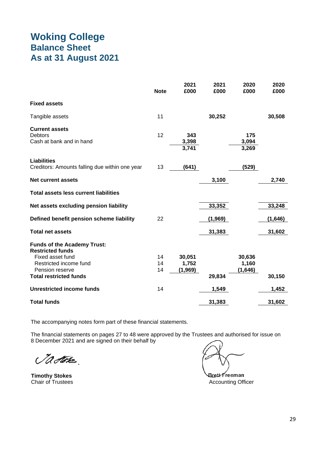# **Woking College Balance Sheet As at 31 August 2021**

|                                                                                                                                | <b>Note</b>    | 2021<br>£000                | 2021<br>£000 | 2020<br>£000               | 2020<br>£000 |
|--------------------------------------------------------------------------------------------------------------------------------|----------------|-----------------------------|--------------|----------------------------|--------------|
| <b>Fixed assets</b>                                                                                                            |                |                             |              |                            |              |
| Tangible assets                                                                                                                | 11             |                             | 30,252       |                            | 30,508       |
| <b>Current assets</b><br><b>Debtors</b><br>Cash at bank and in hand                                                            | 12             | 343<br>3,398<br>3,741       |              | 175<br>3,094<br>3,269      |              |
| <b>Liabilities</b><br>Creditors: Amounts falling due within one year                                                           | 13             | (641)                       |              | (529)                      |              |
| <b>Net current assets</b>                                                                                                      |                |                             | 3,100        |                            | 2,740        |
| <b>Total assets less current liabilities</b>                                                                                   |                |                             |              |                            |              |
| Net assets excluding pension liability                                                                                         |                |                             | 33,352       |                            | 33,248       |
| Defined benefit pension scheme liability                                                                                       | 22             |                             | (1, 969)     |                            | (1,646)      |
| <b>Total net assets</b>                                                                                                        |                |                             | 31,383       |                            | 31,602       |
| <b>Funds of the Academy Trust:</b><br><b>Restricted funds</b><br>Fixed asset fund<br>Restricted income fund<br>Pension reserve | 14<br>14<br>14 | 30,051<br>1,752<br>(1, 969) |              | 30,636<br>1,160<br>(1,646) |              |
| <b>Total restricted funds</b>                                                                                                  |                |                             | 29,834       |                            | 30,150       |
| <b>Unrestricted income funds</b>                                                                                               | 14             |                             | 1,549        |                            | 1,452        |
| <b>Total funds</b>                                                                                                             |                |                             | 31,383       |                            | 31,602       |

The accompanying notes form part of these financial statements.

The financial statements on pages 27 to 48 were approved by the Trustees and authorised for issue on 8 December 2021 and are signed on their behalf by

Tastokes

**Timothy Stokes**<br>
Chair of Trustees<br>
Chair of Trustees<br> **Brett Freeman Accounting Officer**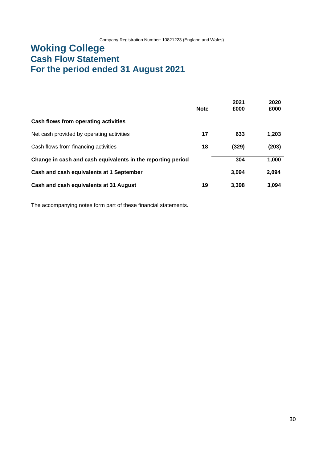Company Registration Number: 10821223 (England and Wales)

# **Woking College Cash Flow Statement For the period ended 31 August 2021**

|                                                             | <b>Note</b> | 2021<br>£000 | 2020<br>£000 |
|-------------------------------------------------------------|-------------|--------------|--------------|
| Cash flows from operating activities                        |             |              |              |
| Net cash provided by operating activities                   | 17          | 633          | 1,203        |
| Cash flows from financing activities                        | 18          | (329)        | (203)        |
| Change in cash and cash equivalents in the reporting period |             | 304          | 1,000        |
| Cash and cash equivalents at 1 September                    |             | 3.094        | 2,094        |
| Cash and cash equivalents at 31 August                      | 19          | 3.398        | 3,094        |

The accompanying notes form part of these financial statements.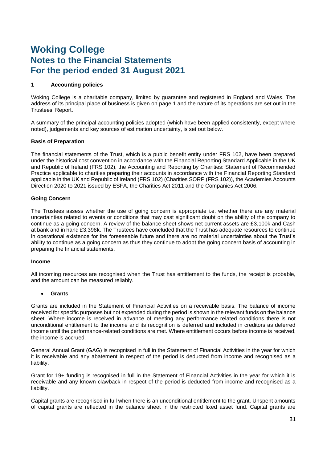### **1 Accounting policies**

Woking College is a charitable company, limited by guarantee and registered in England and Wales. The address of its principal place of business is given on page 1 and the nature of its operations are set out in the Trustees' Report.

A summary of the principal accounting policies adopted (which have been applied consistently, except where noted), judgements and key sources of estimation uncertainty, is set out below.

#### **Basis of Preparation**

The financial statements of the Trust, which is a public benefit entity under FRS 102, have been prepared under the historical cost convention in accordance with the Financial Reporting Standard Applicable in the UK and Republic of Ireland (FRS 102), the Accounting and Reporting by Charities: Statement of Recommended Practice applicable to charities preparing their accounts in accordance with the Financial Reporting Standard applicable in the UK and Republic of Ireland (FRS 102) (Charities SORP (FRS 102)), the Academies Accounts Direction 2020 to 2021 issued by ESFA, the Charities Act 2011 and the Companies Act 2006.

#### **Going Concern**

The Trustees assess whether the use of going concern is appropriate i.e. whether there are any material uncertainties related to events or conditions that may cast significant doubt on the ability of the company to continue as a going concern. A review of the balance sheet shows net current assets are £3,100k and Cash at bank and in hand £3,398k. The Trustees have concluded that the Trust has adequate resources to continue in operational existence for the foreseeable future and there are no material uncertainties about the Trust's ability to continue as a going concern as thus they continue to adopt the going concern basis of accounting in preparing the financial statements.

#### **Income**

All incoming resources are recognised when the Trust has entitlement to the funds, the receipt is probable, and the amount can be measured reliably.

#### • **Grants**

Grants are included in the Statement of Financial Activities on a receivable basis. The balance of income received for specific purposes but not expended during the period is shown in the relevant funds on the balance sheet. Where income is received in advance of meeting any performance related conditions there is not unconditional entitlement to the income and its recognition is deferred and included in creditors as deferred income until the performance-related conditions are met. Where entitlement occurs before income is received, the income is accrued.

General Annual Grant (GAG) is recognised in full in the Statement of Financial Activities in the year for which it is receivable and any abatement in respect of the period is deducted from income and recognised as a liability.

Grant for 19+ funding is recognised in full in the Statement of Financial Activities in the year for which it is receivable and any known clawback in respect of the period is deducted from income and recognised as a liability.

Capital grants are recognised in full when there is an unconditional entitlement to the grant. Unspent amounts of capital grants are reflected in the balance sheet in the restricted fixed asset fund. Capital grants are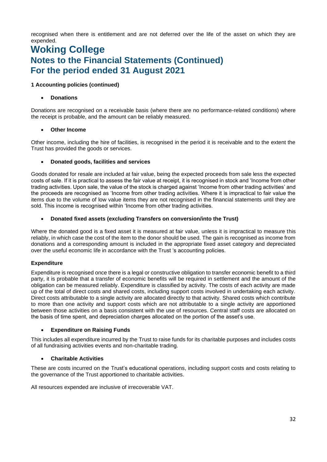recognised when there is entitlement and are not deferred over the life of the asset on which they are expended.

# **Woking College Notes to the Financial Statements (Continued) For the period ended 31 August 2021**

## **1 Accounting policies (continued)**

### • **Donations**

Donations are recognised on a receivable basis (where there are no performance-related conditions) where the receipt is probable, and the amount can be reliably measured.

### • **Other Income**

Other income, including the hire of facilities, is recognised in the period it is receivable and to the extent the Trust has provided the goods or services.

### • **Donated goods, facilities and services**

Goods donated for resale are included at fair value, being the expected proceeds from sale less the expected costs of sale. If it is practical to assess the fair value at receipt, it is recognised in stock and 'Income from other trading activities. Upon sale, the value of the stock is charged against 'Income from other trading activities' and the proceeds are recognised as 'Income from other trading activities. Where it is impractical to fair value the items due to the volume of low value items they are not recognised in the financial statements until they are sold. This income is recognised within 'Income from other trading activities.

## • **Donated fixed assets (excluding Transfers on conversion/into the Trust)**

Where the donated good is a fixed asset it is measured at fair value, unless it is impractical to measure this reliably, in which case the cost of the item to the donor should be used. The gain is recognised as income from donations and a corresponding amount is included in the appropriate fixed asset category and depreciated over the useful economic life in accordance with the Trust 's accounting policies.

## **Expenditure**

Expenditure is recognised once there is a legal or constructive obligation to transfer economic benefit to a third party, it is probable that a transfer of economic benefits will be required in settlement and the amount of the obligation can be measured reliably. Expenditure is classified by activity. The costs of each activity are made up of the total of direct costs and shared costs, including support costs involved in undertaking each activity. Direct costs attributable to a single activity are allocated directly to that activity. Shared costs which contribute to more than one activity and support costs which are not attributable to a single activity are apportioned between those activities on a basis consistent with the use of resources. Central staff costs are allocated on the basis of time spent, and depreciation charges allocated on the portion of the asset's use.

#### • **Expenditure on Raising Funds**

This includes all expenditure incurred by the Trust to raise funds for its charitable purposes and includes costs of all fundraising activities events and non-charitable trading.

## • **Charitable Activities**

These are costs incurred on the Trust's educational operations, including support costs and costs relating to the governance of the Trust apportioned to charitable activities.

All resources expended are inclusive of irrecoverable VAT.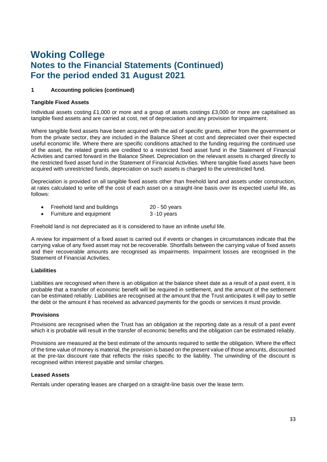## **1 Accounting policies (continued)**

### **Tangible Fixed Assets**

Individual assets costing £1,000 or more and a group of assets costings £3,000 or more are capitalised as tangible fixed assets and are carried at cost, net of depreciation and any provision for impairment.

Where tangible fixed assets have been acquired with the aid of specific grants, either from the government or from the private sector, they are included in the Balance Sheet at cost and depreciated over their expected useful economic life. Where there are specific conditions attached to the funding requiring the continued use of the asset, the related grants are credited to a restricted fixed asset fund in the Statement of Financial Activities and carried forward in the Balance Sheet. Depreciation on the relevant assets is charged directly to the restricted fixed asset fund in the Statement of Financial Activities. Where tangible fixed assets have been acquired with unrestricted funds, depreciation on such assets is charged to the unrestricted fund.

Depreciation is provided on all tangible fixed assets other than freehold land and assets under construction, at rates calculated to write off the cost of each asset on a straight-line basis over its expected useful life, as follows:

| Freehold land and buildings | 20 - 50 years |
|-----------------------------|---------------|
| Furniture and equipment     | 3 -10 years   |

Freehold land is not depreciated as it is considered to have an infinite useful life.

A review for impairment of a fixed asset is carried out if events or changes in circumstances indicate that the carrying value of any fixed asset may not be recoverable. Shortfalls between the carrying value of fixed assets and their recoverable amounts are recognised as impairments. Impairment losses are recognised in the Statement of Financial Activities.

#### **Liabilities**

Liabilities are recognised when there is an obligation at the balance sheet date as a result of a past event, it is probable that a transfer of economic benefit will be required in settlement, and the amount of the settlement can be estimated reliably. Liabilities are recognised at the amount that the Trust anticipates it will pay to settle the debt or the amount it has received as advanced payments for the goods or services it must provide.

#### **Provisions**

Provisions are recognised when the Trust has an obligation at the reporting date as a result of a past event which it is probable will result in the transfer of economic benefits and the obligation can be estimated reliably.

Provisions are measured at the best estimate of the amounts required to settle the obligation. Where the effect of the time value of money is material, the provision is based on the present value of those amounts, discounted at the pre-tax discount rate that reflects the risks specific to the liability. The unwinding of the discount is recognised within interest payable and similar charges.

## **Leased Assets**

Rentals under operating leases are charged on a straight-line basis over the lease term.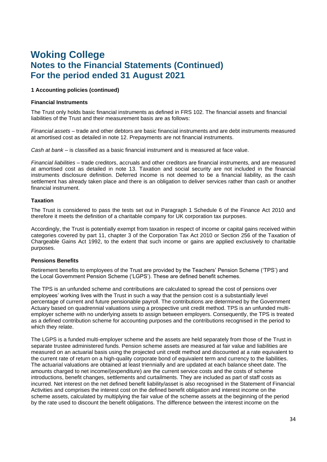## **1 Accounting policies (continued)**

#### **Financial Instruments**

The Trust only holds basic financial instruments as defined in FRS 102. The financial assets and financial liabilities of the Trust and their measurement basis are as follows:

*Financial assets* – trade and other debtors are basic financial instruments and are debt instruments measured at amortised cost as detailed in note 12. Prepayments are not financial instruments.

*Cash at bank* – is classified as a basic financial instrument and is measured at face value.

*Financial liabilities* – trade creditors, accruals and other creditors are financial instruments, and are measured at amortised cost as detailed in note 13. Taxation and social security are not included in the financial instruments disclosure definition. Deferred income is not deemed to be a financial liability, as the cash settlement has already taken place and there is an obligation to deliver services rather than cash or another financial instrument.

#### **Taxation**

The Trust is considered to pass the tests set out in Paragraph 1 Schedule 6 of the Finance Act 2010 and therefore it meets the definition of a charitable company for UK corporation tax purposes.

Accordingly, the Trust is potentially exempt from taxation in respect of income or capital gains received within categories covered by part 11, chapter 3 of the Corporation Tax Act 2010 or Section 256 of the Taxation of Chargeable Gains Act 1992, to the extent that such income or gains are applied exclusively to charitable purposes.

#### **Pensions Benefits**

Retirement benefits to employees of the Trust are provided by the Teachers' Pension Scheme ('TPS') and the Local Government Pension Scheme ('LGPS'). These are defined benefit schemes.

The TPS is an unfunded scheme and contributions are calculated to spread the cost of pensions over employees' working lives with the Trust in such a way that the pension cost is a substantially level percentage of current and future pensionable payroll. The contributions are determined by the Government Actuary based on quadrennial valuations using a prospective unit credit method. TPS is an unfunded multiemployer scheme with no underlying assets to assign between employers. Consequently, the TPS is treated as a defined contribution scheme for accounting purposes and the contributions recognised in the period to which they relate.

The LGPS is a funded multi-employer scheme and the assets are held separately from those of the Trust in separate trustee administered funds. Pension scheme assets are measured at fair value and liabilities are measured on an actuarial basis using the projected unit credit method and discounted at a rate equivalent to the current rate of return on a high-quality corporate bond of equivalent term and currency to the liabilities. The actuarial valuations are obtained at least triennially and are updated at each balance sheet date. The amounts charged to net income/(expenditure) are the current service costs and the costs of scheme introductions, benefit changes, settlements and curtailments. They are included as part of staff costs as incurred. Net interest on the net defined benefit liability/asset is also recognised in the Statement of Financial Activities and comprises the interest cost on the defined benefit obligation and interest income on the scheme assets, calculated by multiplying the fair value of the scheme assets at the beginning of the period by the rate used to discount the benefit obligations. The difference between the interest income on the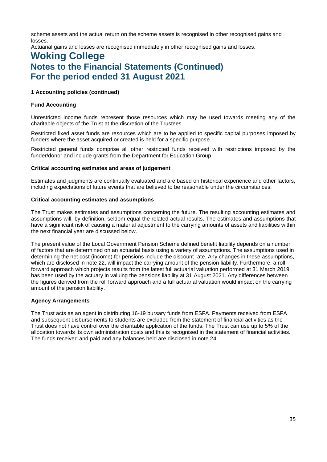scheme assets and the actual return on the scheme assets is recognised in other recognised gains and losses.

Actuarial gains and losses are recognised immediately in other recognised gains and losses.

# **Woking College Notes to the Financial Statements (Continued) For the period ended 31 August 2021**

### **1 Accounting policies (continued)**

### **Fund Accounting**

Unrestricted income funds represent those resources which may be used towards meeting any of the charitable objects of the Trust at the discretion of the Trustees.

Restricted fixed asset funds are resources which are to be applied to specific capital purposes imposed by funders where the asset acquired or created is held for a specific purpose.

Restricted general funds comprise all other restricted funds received with restrictions imposed by the funder/donor and include grants from the Department for Education Group.

#### **Critical accounting estimates and areas of judgement**

Estimates and judgments are continually evaluated and are based on historical experience and other factors, including expectations of future events that are believed to be reasonable under the circumstances.

### **Critical accounting estimates and assumptions**

The Trust makes estimates and assumptions concerning the future. The resulting accounting estimates and assumptions will, by definition, seldom equal the related actual results. The estimates and assumptions that have a significant risk of causing a material adjustment to the carrying amounts of assets and liabilities within the next financial year are discussed below.

The present value of the Local Government Pension Scheme defined benefit liability depends on a number of factors that are determined on an actuarial basis using a variety of assumptions. The assumptions used in determining the net cost (income) for pensions include the discount rate. Any changes in these assumptions, which are disclosed in note 22, will impact the carrying amount of the pension liability. Furthermore, a roll forward approach which projects results from the latest full actuarial valuation performed at 31 March 2019 has been used by the actuary in valuing the pensions liability at 31 August 2021. Any differences between the figures derived from the roll forward approach and a full actuarial valuation would impact on the carrying amount of the pension liability.

## **Agency Arrangements**

The Trust acts as an agent in distributing 16-19 bursary funds from ESFA. Payments received from ESFA and subsequent disbursements to students are excluded from the statement of financial activities as the Trust does not have control over the charitable application of the funds. The Trust can use up to 5% of the allocation towards its own administration costs and this is recognised in the statement of financial activities. The funds received and paid and any balances held are disclosed in note 24.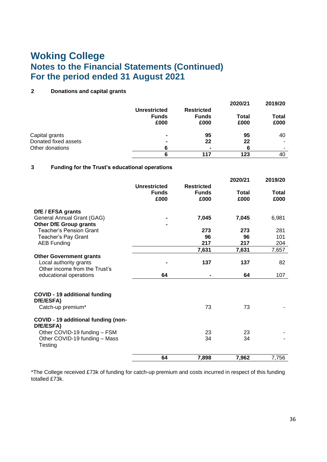# **2 Donations and capital grants**

|                      |                     |                   | 2020/21 | 2019/20 |
|----------------------|---------------------|-------------------|---------|---------|
|                      | <b>Unrestricted</b> | <b>Restricted</b> |         |         |
|                      | <b>Funds</b>        | <b>Funds</b>      | Total   | Total   |
|                      | £000                | £000              | £000    | £000    |
| Capital grants       | $\blacksquare$      | 95                | 95      | 40      |
| Donated fixed assets | $\blacksquare$      | 22                | 22      |         |
| Other donations      | 6                   | $\blacksquare$    | 6       |         |
|                      |                     | 117               | 123     | 40      |

# **3 Funding for the Trust's educational operations**

| <b>Funds</b><br><b>Funds</b><br><b>Total</b><br>£000<br>£000<br>£000<br>DfE / EFSA grants<br>General Annual Grant (GAG)<br>7,045<br>7,045<br><b>Other DfE Group grants</b><br><b>Teacher's Pension Grant</b><br>273<br>273<br>96<br>Teacher's Pay Grant<br>96<br>217<br>217<br><b>AEB Funding</b><br>7,631<br>7,631<br><b>Other Government grants</b><br>Local authority grants<br>137<br>137<br>Other income from the Trust's<br>educational operations<br>64<br>64<br><b>COVID - 19 additional funding</b><br>DfE/ESFA)<br>Catch-up premium*<br>73<br>73<br>COVID - 19 additional funding (non-<br>DfE/ESFA)<br>Other COVID-19 funding - FSM<br>23<br>23 |                               |                     |                   | 2020/21 | 2019/20      |
|------------------------------------------------------------------------------------------------------------------------------------------------------------------------------------------------------------------------------------------------------------------------------------------------------------------------------------------------------------------------------------------------------------------------------------------------------------------------------------------------------------------------------------------------------------------------------------------------------------------------------------------------------------|-------------------------------|---------------------|-------------------|---------|--------------|
|                                                                                                                                                                                                                                                                                                                                                                                                                                                                                                                                                                                                                                                            |                               | <b>Unrestricted</b> | <b>Restricted</b> |         |              |
|                                                                                                                                                                                                                                                                                                                                                                                                                                                                                                                                                                                                                                                            |                               |                     |                   |         | <b>Total</b> |
|                                                                                                                                                                                                                                                                                                                                                                                                                                                                                                                                                                                                                                                            |                               |                     |                   |         | £000         |
|                                                                                                                                                                                                                                                                                                                                                                                                                                                                                                                                                                                                                                                            |                               |                     |                   |         |              |
|                                                                                                                                                                                                                                                                                                                                                                                                                                                                                                                                                                                                                                                            |                               |                     |                   |         | 6,981        |
|                                                                                                                                                                                                                                                                                                                                                                                                                                                                                                                                                                                                                                                            |                               |                     |                   |         |              |
|                                                                                                                                                                                                                                                                                                                                                                                                                                                                                                                                                                                                                                                            |                               |                     |                   |         | 281          |
|                                                                                                                                                                                                                                                                                                                                                                                                                                                                                                                                                                                                                                                            |                               |                     |                   |         | 101          |
|                                                                                                                                                                                                                                                                                                                                                                                                                                                                                                                                                                                                                                                            |                               |                     |                   |         | 204          |
|                                                                                                                                                                                                                                                                                                                                                                                                                                                                                                                                                                                                                                                            |                               |                     |                   |         | 7,657        |
|                                                                                                                                                                                                                                                                                                                                                                                                                                                                                                                                                                                                                                                            |                               |                     |                   |         |              |
|                                                                                                                                                                                                                                                                                                                                                                                                                                                                                                                                                                                                                                                            |                               |                     |                   |         | 82           |
|                                                                                                                                                                                                                                                                                                                                                                                                                                                                                                                                                                                                                                                            |                               |                     |                   |         |              |
|                                                                                                                                                                                                                                                                                                                                                                                                                                                                                                                                                                                                                                                            |                               |                     |                   |         | 107          |
|                                                                                                                                                                                                                                                                                                                                                                                                                                                                                                                                                                                                                                                            |                               |                     |                   |         |              |
|                                                                                                                                                                                                                                                                                                                                                                                                                                                                                                                                                                                                                                                            |                               |                     |                   |         |              |
|                                                                                                                                                                                                                                                                                                                                                                                                                                                                                                                                                                                                                                                            |                               |                     |                   |         |              |
|                                                                                                                                                                                                                                                                                                                                                                                                                                                                                                                                                                                                                                                            |                               |                     |                   |         |              |
|                                                                                                                                                                                                                                                                                                                                                                                                                                                                                                                                                                                                                                                            |                               |                     |                   |         |              |
| 34<br>Testing                                                                                                                                                                                                                                                                                                                                                                                                                                                                                                                                                                                                                                              | Other COVID-19 funding - Mass |                     | 34                |         |              |
| 64<br>7,898<br>7,962                                                                                                                                                                                                                                                                                                                                                                                                                                                                                                                                                                                                                                       |                               |                     |                   |         | 7,756        |

\*The College received £73k of funding for catch-up premium and costs incurred in respect of this funding totalled £73k.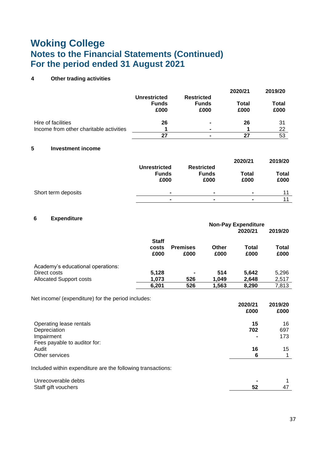## **4 Other trading activities**

|                                         |                     |                   | 2020/21 | 2019/20 |
|-----------------------------------------|---------------------|-------------------|---------|---------|
|                                         | <b>Unrestricted</b> | <b>Restricted</b> |         |         |
|                                         | <b>Funds</b>        | <b>Funds</b>      | Total   | Total   |
|                                         | £000                | £000              | £000    | £000    |
| Hire of facilities                      | 26                  |                   | 26      | -31     |
| Income from other charitable activities |                     |                   |         | 22      |
|                                         | 27                  |                   | 27      | 53      |

## **5 Investment income**

|                     |                     |                   | 2020/21                  | 2019/20 |
|---------------------|---------------------|-------------------|--------------------------|---------|
|                     | <b>Unrestricted</b> | <b>Restricted</b> |                          |         |
|                     | <b>Funds</b>        | <b>Funds</b>      | Total                    | Total   |
|                     | £000                | £000              | £000                     | £000    |
|                     |                     |                   |                          |         |
| Short term deposits | $\blacksquare$      | $\blacksquare$    | $\overline{\phantom{0}}$ | 11      |
|                     | $\blacksquare$      | $\blacksquare$    | $\blacksquare$           |         |
|                     |                     |                   |                          |         |

### **6 Expenditure**

|                                   |                               |                         |               | <b>Non-Pay Expenditure</b><br>2020/21 | 2019/20       |
|-----------------------------------|-------------------------------|-------------------------|---------------|---------------------------------------|---------------|
|                                   | <b>Staff</b><br>costs<br>£000 | <b>Premises</b><br>£000 | Other<br>£000 | Total<br>£000                         | Total<br>£000 |
| Academy's educational operations: |                               |                         |               |                                       |               |
| Direct costs                      | 5,128                         | $\blacksquare$          | 514           | 5,642                                 | 5,296         |
| <b>Allocated Support costs</b>    | 1,073                         | 526                     | 1.049         | 2,648                                 | 2,517         |
|                                   | 6.201                         | 526                     | 1,563         | 8.290                                 | 7.813         |

Net income/ (expenditure) for the period includes:

|                                                             | 2020/21<br>£000 | 2019/20<br>£000 |
|-------------------------------------------------------------|-----------------|-----------------|
| Operating lease rentals                                     | 15              | 16              |
| Depreciation                                                | 702             | 697             |
| Impairment                                                  | $\blacksquare$  | 173             |
| Fees payable to auditor for:                                |                 |                 |
| Audit                                                       | 16              | 15              |
| Other services                                              | 6               |                 |
| Included within expenditure are the following transactions: |                 |                 |
| Unrecoverable debts                                         |                 |                 |
| Staff gift vouchers                                         | 52              | 47              |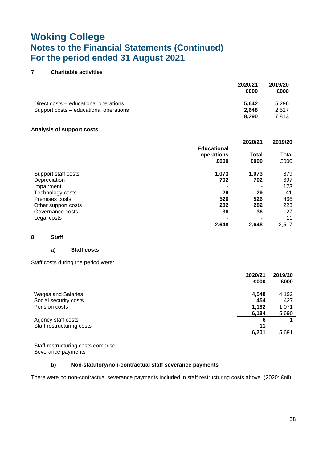## **7 Charitable activities**

|                                        | 2020/21<br>£000 | 2019/20<br>£000 |
|----------------------------------------|-----------------|-----------------|
| Direct costs – educational operations  | 5.642           | 5.296           |
| Support costs – educational operations | 2.648           | 2.517           |
|                                        | 8.290           | 7.813           |

#### **Analysis of support costs**

|                     |                    | 2020/21        | 2019/20 |
|---------------------|--------------------|----------------|---------|
|                     | <b>Educational</b> |                |         |
|                     | operations         | Total          | Total   |
|                     | £000               | £000           | £000    |
| Support staff costs | 1,073              | 1.073          | 879     |
| Depreciation        | 702                | 702            | 697     |
| Impairment          |                    |                | 173     |
| Technology costs    | 29                 | 29             | 41      |
| Premises costs      | 526                | 526            | 466     |
| Other support costs | 282                | 282            | 223     |
| Governance costs    | 36                 | 36             | 27      |
| Legal costs         | $\blacksquare$     | $\blacksquare$ | 11      |
|                     | 2,648              | 2,648          | 2,517   |

## **8 Staff**

### **a) Staff costs**

Staff costs during the period were:

|                                     | 2020/21<br>£000 | 2019/20<br>£000 |
|-------------------------------------|-----------------|-----------------|
| Wages and Salaries                  | 4,548           | 4,192           |
| Social security costs               | 454             | 427             |
| Pension costs                       | 1,182           | 1,071           |
|                                     | 6,184           | 5,690           |
| Agency staff costs                  | 6               |                 |
| Staff restructuring costs           | 11              |                 |
|                                     | 6,201           | 5,691           |
| Staff restructuring costs comprise: |                 |                 |

Staff restructuring costs comprise: Severance payments and the second several services of the second service of the second service of the series of the series of the series of the series of the series of the series of the series of the series of the series o

## **b) Non-statutory/non-contractual staff severance payments**

There were no non-contractual severance payments included in staff restructuring costs above. (2020: £nil).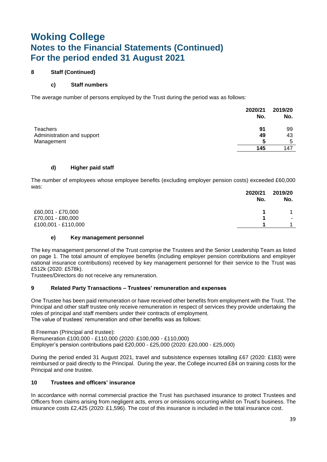## **8 Staff (Continued)**

## **c) Staff numbers**

The average number of persons employed by the Trust during the period was as follows:

|                            | 2020/21<br>No. | 2019/20<br>No. |
|----------------------------|----------------|----------------|
| Teachers                   | 91             | 99             |
| Administration and support | 49             | 43             |
| Management                 | 5              | 5              |
|                            | 145            | 147            |

## **d) Higher paid staff**

The number of employees whose employee benefits (excluding employer pension costs) exceeded £60,000 was:

|                     | 2020/21<br>No. | 2019/20<br>No.           |
|---------------------|----------------|--------------------------|
| £60,001 - £70,000   |                |                          |
| £70,001 - £80,000   |                | $\overline{\phantom{a}}$ |
| £100,001 - £110,000 |                |                          |

## **e) Key management personnel**

The key management personnel of the Trust comprise the Trustees and the Senior Leadership Team as listed on page 1. The total amount of employee benefits (including employer pension contributions and employer national insurance contributions) received by key management personnel for their service to the Trust was £512k (2020: £578k).

Trustees/Directors do not receive any remuneration.

## **9 Related Party Transactions – Trustees' remuneration and expenses**

One Trustee has been paid remuneration or have received other benefits from employment with the Trust. The Principal and other staff trustee only receive remuneration in respect of services they provide undertaking the roles of principal and staff members under their contracts of employment. The value of trustees' remuneration and other benefits was as follows:

B Freeman (Principal and trustee): Remuneration £100,000 - £110,000 (2020: £100,000 - £110,000) Employer's pension contributions paid £20,000 - £25,000 (2020: £20,000 - £25,000)

During the period ended 31 August 2021, travel and subsistence expenses totalling £67 (2020: £183) were reimbursed or paid directly to the Principal. During the year, the College incurred £84 on training costs for the Principal and one trustee.

## **10 Trustees and officers' insurance**

In accordance with normal commercial practice the Trust has purchased insurance to protect Trustees and Officers from claims arising from negligent acts, errors or omissions occurring whilst on Trust's business. The insurance costs £2,425 (2020: £1,596). The cost of this insurance is included in the total insurance cost.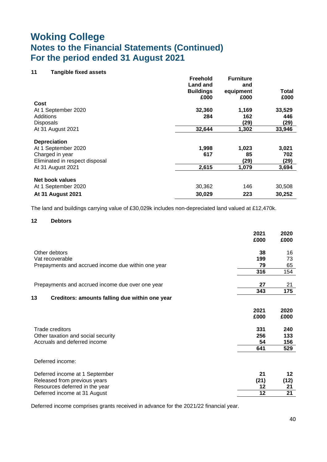## **11 Tangible fixed assets**

|                                | <b>Freehold</b>  | <b>Furniture</b> |        |
|--------------------------------|------------------|------------------|--------|
|                                | <b>Land and</b>  | and              |        |
|                                | <b>Buildings</b> | equipment        | Total  |
|                                | £000             | £000             | £000   |
| Cost                           |                  |                  |        |
| At 1 September 2020            | 32,360           | 1,169            | 33,529 |
| Additions                      | 284              | 162              | 446    |
| <b>Disposals</b>               |                  | (29)             | (29)   |
| At 31 August 2021              | 32,644           | 1,302            | 33,946 |
| <b>Depreciation</b>            |                  |                  |        |
| At 1 September 2020            | 1,998            | 1,023            | 3,021  |
| Charged in year                | 617              | 85               | 702    |
| Eliminated in respect disposal |                  | (29)             | (29)   |
| At 31 August 2021              | 2,615            | 1,079            | 3,694  |
| Net book values                |                  |                  |        |
| At 1 September 2020            | 30,362           | 146              | 30,508 |
| <b>At 31 August 2021</b>       | 30,029           | 223              | 30,252 |

The land and buildings carrying value of £30,029k includes non-depreciated land valued at £12,470k.

## **12 Debtors**

|                                                      | 2021<br>£000 | 2020<br>£000 |
|------------------------------------------------------|--------------|--------------|
| Other debtors                                        | 38           | 16           |
| Vat recoverable                                      | 199          | 73           |
| Prepayments and accrued income due within one year   | 79           | 65           |
|                                                      | 316          | 154          |
| Prepayments and accrued income due over one year     | 27           | 21           |
|                                                      | 343          | 175          |
| 13<br>Creditors: amounts falling due within one year |              |              |
|                                                      | 2021         | 2020         |
|                                                      | £000         | £000         |
| Trade creditors                                      | 331          | 240          |
| Other taxation and social security                   | 256          | 133          |
| Accruals and deferred income                         | 54           | 156          |
|                                                      | 641          | 529          |
| Deferred income:                                     |              |              |
| Deferred income at 1 September                       | 21           | 12           |
| Released from previous years                         | (21)         | (12)         |
| Resources deferred in the year                       | 12           | 21           |
| Deferred income at 31 August                         | 12           | 21           |

Deferred income comprises grants received in advance for the 2021/22 financial year.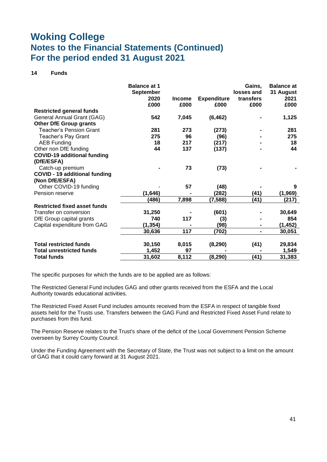**14 Funds**

|                                      | <b>Balance at 1</b><br><b>September</b><br>2020<br>£000 | <b>Income</b><br>£000 | <b>Expenditure</b><br>£000 | Gains,<br>losses and<br>transfers<br>£000 | <b>Balance at</b><br>31 August<br>2021<br>£000 |
|--------------------------------------|---------------------------------------------------------|-----------------------|----------------------------|-------------------------------------------|------------------------------------------------|
| <b>Restricted general funds</b>      |                                                         |                       |                            |                                           |                                                |
| General Annual Grant (GAG)           | 542                                                     | 7,045                 | (6, 462)                   |                                           | 1,125                                          |
| <b>Other DfE Group grants</b>        |                                                         |                       |                            |                                           |                                                |
| <b>Teacher's Pension Grant</b>       | 281                                                     | 273                   | (273)                      |                                           | 281                                            |
| Teacher's Pay Grant                  | 275                                                     | 96                    | (96)                       |                                           | 275                                            |
| <b>AEB Funding</b>                   | 18                                                      | 217                   | (217)                      |                                           | 18                                             |
| Other non DfE funding                | 44                                                      | 137                   | (137)                      |                                           | 44                                             |
| <b>COVID-19 additional funding</b>   |                                                         |                       |                            |                                           |                                                |
| (DfE/ESFA)                           |                                                         |                       |                            |                                           |                                                |
| Catch-up premium                     |                                                         | 73                    | (73)                       |                                           |                                                |
| <b>COVID - 19 additional funding</b> |                                                         |                       |                            |                                           |                                                |
| (Non DfE/ESFA)                       |                                                         |                       |                            |                                           |                                                |
| Other COVID-19 funding               |                                                         | 57                    | (48)                       |                                           | 9                                              |
| Pension reserve                      | (1,646)                                                 |                       | (282)                      | (41)                                      | (1, 969)                                       |
|                                      | (486)                                                   | 7,898                 | (7, 588)                   | (41)                                      | (217)                                          |
| <b>Restricted fixed asset funds</b>  |                                                         |                       |                            |                                           |                                                |
| Transfer on conversion               | 31,250                                                  |                       | (601)                      |                                           | 30,649                                         |
| DfE Group capital grants             | 740                                                     | 117                   | (3)                        |                                           | 854                                            |
| Capital expenditure from GAG         | (1, 354)                                                |                       | (98)                       |                                           | (1, 452)                                       |
|                                      | 30,636                                                  | 117                   | (702)                      | $\blacksquare$                            | 30,051                                         |
|                                      |                                                         |                       |                            |                                           |                                                |
| <b>Total restricted funds</b>        | 30,150                                                  | 8,015                 | (8, 290)                   | (41)                                      | 29,834                                         |
| <b>Total unrestricted funds</b>      | 1,452                                                   | 97                    |                            |                                           | 1,549                                          |
| <b>Total funds</b>                   | 31,602                                                  | 8,112                 | (8, 290)                   | (41)                                      | 31,383                                         |

The specific purposes for which the funds are to be applied are as follows:

The Restricted General Fund includes GAG and other grants received from the ESFA and the Local Authority towards educational activities.

The Restricted Fixed Asset Fund includes amounts received from the ESFA in respect of tangible fixed assets held for the Trusts use. Transfers between the GAG Fund and Restricted Fixed Asset Fund relate to purchases from this fund.

The Pension Reserve relates to the Trust's share of the deficit of the Local Government Pension Scheme overseen by Surrey County Council.

Under the Funding Agreement with the Secretary of State, the Trust was not subject to a limit on the amount of GAG that it could carry forward at 31 August 2021.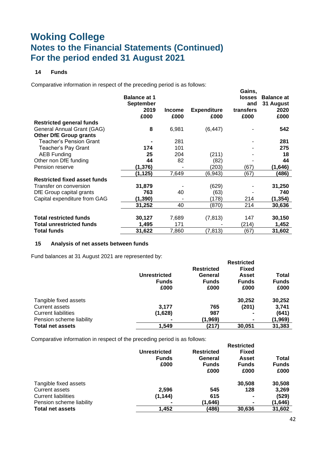## **14 Funds**

Comparative information in respect of the preceding period is as follows:

|                                     | <b>Balance at 1</b><br><b>September</b><br>2019<br>£000 | <b>Income</b><br>£000 | <b>Expenditure</b><br>£000 | ס וווסט,<br><b>losses</b><br>and<br>transfers<br>£000 | <b>Balance at</b><br>31 August<br>2020<br>£000 |
|-------------------------------------|---------------------------------------------------------|-----------------------|----------------------------|-------------------------------------------------------|------------------------------------------------|
| <b>Restricted general funds</b>     |                                                         |                       |                            |                                                       |                                                |
| General Annual Grant (GAG)          | 8                                                       | 6,981                 | (6, 447)                   |                                                       | 542                                            |
| <b>Other DfE Group grants</b>       |                                                         |                       |                            |                                                       |                                                |
| <b>Teacher's Pension Grant</b>      |                                                         | 281                   |                            |                                                       | 281                                            |
| Teacher's Pay Grant                 | 174                                                     | 101                   |                            |                                                       | 275                                            |
| <b>AEB Funding</b>                  | 25                                                      | 204                   | (211)                      |                                                       | 18                                             |
| Other non DfE funding               | 44                                                      | 82                    | (82)                       |                                                       | 44                                             |
| Pension reserve                     | (1,376)                                                 |                       | (203)                      | (67)                                                  | (1,646)                                        |
|                                     | (1,125)                                                 | 7,649                 | (6,943)                    | (67)                                                  | (486)                                          |
| <b>Restricted fixed asset funds</b> |                                                         |                       |                            |                                                       |                                                |
| Transfer on conversion              | 31,879                                                  |                       | (629)                      |                                                       | 31,250                                         |
| DfE Group capital grants            | 763                                                     | 40                    | (63)                       |                                                       | 740                                            |
| Capital expenditure from GAG        | (1,390)                                                 |                       | (178)                      | 214                                                   | (1, 354)                                       |
|                                     | 31,252                                                  | 40                    | (870)                      | 214                                                   | 30,636                                         |
|                                     |                                                         |                       |                            |                                                       |                                                |
| <b>Total restricted funds</b>       | 30,127                                                  | 7,689                 | (7, 813)                   | 147                                                   | 30,150                                         |
| <b>Total unrestricted funds</b>     | 1,495                                                   | 171                   |                            | (214)                                                 | 1,452                                          |
| <b>Total funds</b>                  | 31,622                                                  | 7,860                 | (7, 813)                   | (67)                                                  | 31,602                                         |
|                                     |                                                         |                       |                            |                                                       |                                                |

**Gains,** 

**Restricted** 

## **15 Analysis of net assets between funds**

Fund balances at 31 August 2021 are represented by:

|                            |                     |                   | <b>Restricted</b> |              |
|----------------------------|---------------------|-------------------|-------------------|--------------|
|                            |                     | <b>Restricted</b> | <b>Fixed</b>      |              |
|                            | <b>Unrestricted</b> | General           | Asset             | Total        |
|                            | <b>Funds</b>        | <b>Funds</b>      | <b>Funds</b>      | <b>Funds</b> |
|                            | £000                | £000              | £000              | £000         |
| Tangible fixed assets      |                     |                   | 30,252            | 30,252       |
| <b>Current assets</b>      | 3.177               | 765               | (201)             | 3,741        |
| <b>Current liabilities</b> | (1,628)             | 987               | $\blacksquare$    | (641)        |
| Pension scheme liability   |                     | (1,969)           | $\blacksquare$    | (1,969)      |
| <b>Total net assets</b>    | 1,549               | (217)             | 30.051            | 31,383       |

Comparative information in respect of the preceding period is as follows:

| <b>Restricted</b> | <b>Fixed</b>   |                   |
|-------------------|----------------|-------------------|
| General           | Asset          | Total             |
| <b>Funds</b>      | <b>Funds</b>   | <b>Funds</b>      |
| £000              | £000           | £000              |
|                   | 30,508         | 30,508            |
| 545               | 128            | 3,269             |
| 615               | $\blacksquare$ | (529)             |
| (1,646)           | $\blacksquare$ | (1,646)           |
| (486)             | 30,636         | 31,602            |
|                   |                | <b>Restricted</b> |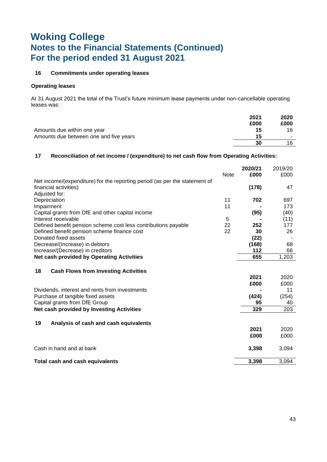## **16 Commitments under operating leases**

#### **Operating leases**

At 31 August 2021 the total of the Trust's future minimum lease payments under non-cancellable operating leases was:

|                                        | 2021 | 2020 |
|----------------------------------------|------|------|
|                                        | £000 | £000 |
| Amounts due within one year            | 15   | 16   |
| Amounts due between one and five years | 15   |      |
|                                        | 30   | 16   |

## **17 Reconciliation of net income / (expenditure) to net cash flow from Operating Activities:**

|                                                                            | <b>Note</b> | 2020/21<br>£000 | 2019/20<br>£000 |
|----------------------------------------------------------------------------|-------------|-----------------|-----------------|
| Net income/(expenditure) for the reporting period (as per the statement of |             |                 |                 |
| financial activities)                                                      |             | (178)           | 47              |
| Adjusted for:                                                              |             |                 |                 |
| Depreciation                                                               | 11          | 702             | 697             |
| Impairment                                                                 | 11          |                 | 173             |
| Capital grants from DfE and other capital income                           |             | (95)            | (40)            |
| Interest receivable                                                        | 5           |                 | (11)            |
| Defined benefit pension scheme cost less contributions payable             | 22          | 252             | 177             |
| Defined benefit pension scheme finance cost                                | 22          | 30              | 26              |
| Donated fixed assets                                                       |             | (22)            |                 |
| Decrease/(Increase) in debtors                                             |             | (168)           | 68              |
| Increase/(Decrease) in creditors                                           |             | 112             | 66              |
| <b>Net cash provided by Operating Activities</b>                           |             | 655             | 1,203           |
| 18<br><b>Cash Flows from Investing Activities</b>                          |             |                 |                 |
|                                                                            |             | 2021            | 2020            |
|                                                                            |             | £000            | £000            |
| Dividends, interest and rents from investments                             |             |                 | 11              |
| Purchase of tangible fixed assets                                          |             | (424)           | (254)           |
| Capital grants from DfE Group                                              |             | 95              | 40              |
| Net cash provided by Investing Activities                                  |             | 329             | 203             |
| 19<br>Analysis of cash and cash equivalents                                |             |                 |                 |
|                                                                            |             | 2021            | 2020            |
|                                                                            |             | £000            | £000            |
| Cash in hand and at bank                                                   |             | 3,398           | 3,094           |
| <b>Total cash and cash equivalents</b>                                     |             | 3,398           | 3,094           |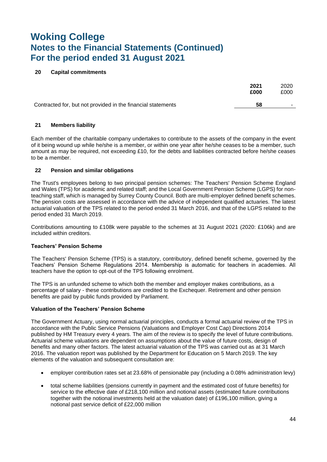### **20 Capital commitments**

|                                                              | 2021<br>£000 | 2020<br>£000 |
|--------------------------------------------------------------|--------------|--------------|
| Contracted for, but not provided in the financial statements | 58           |              |

## **21 Members liability**

Each member of the charitable company undertakes to contribute to the assets of the company in the event of it being wound up while he/she is a member, or within one year after he/she ceases to be a member, such amount as may be required, not exceeding £10, for the debts and liabilities contracted before he/she ceases to be a member.

## **22 Pension and similar obligations**

The Trust's employees belong to two principal pension schemes: The Teachers' Pension Scheme England and Wales (TPS) for academic and related staff; and the Local Government Pension Scheme (LGPS) for nonteaching staff, which is managed by Surrey County Council. Both are multi-employer defined benefit schemes. The pension costs are assessed in accordance with the advice of independent qualified actuaries. The latest actuarial valuation of the TPS related to the period ended 31 March 2016, and that of the LGPS related to the period ended 31 March 2019.

Contributions amounting to £108k were payable to the schemes at 31 August 2021 (2020: £106k) and are included within creditors.

## **Teachers' Pension Scheme**

The Teachers' Pension Scheme (TPS) is a statutory, contributory, defined benefit scheme, governed by the Teachers' Pension Scheme Regulations 2014. Membership is automatic for teachers in academies. All teachers have the option to opt-out of the TPS following enrolment.

The TPS is an unfunded scheme to which both the member and employer makes contributions, as a percentage of salary - these contributions are credited to the Exchequer. Retirement and other pension benefits are paid by public funds provided by Parliament.

### **Valuation of the Teachers' Pension Scheme**

The Government Actuary, using normal actuarial principles, conducts a formal actuarial review of the TPS in accordance with the Public Service Pensions (Valuations and Employer Cost Cap) Directions 2014 published by HM Treasury every 4 years. The aim of the review is to specify the level of future contributions. Actuarial scheme valuations are dependent on assumptions about the value of future costs, design of benefits and many other factors. The latest actuarial valuation of the TPS was carried out as at 31 March 2016. The valuation report was published by the Department for Education on 5 March 2019. The key elements of the valuation and subsequent consultation are:

- employer contribution rates set at 23.68% of pensionable pay (including a 0.08% administration levy)
- total scheme liabilities (pensions currently in payment and the estimated cost of future benefits) for service to the effective date of £218,100 million and notional assets (estimated future contributions together with the notional investments held at the valuation date) of £196,100 million, giving a notional past service deficit of £22,000 million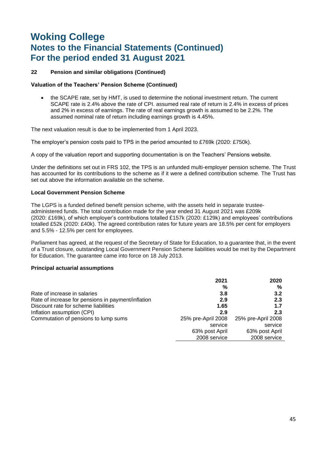## **22 Pension and similar obligations (Continued)**

### **Valuation of the Teachers' Pension Scheme (Continued)**

• the SCAPE rate, set by HMT, is used to determine the notional investment return. The current SCAPE rate is 2.4% above the rate of CPI. assumed real rate of return is 2.4% in excess of prices and 2% in excess of earnings. The rate of real earnings growth is assumed to be 2.2%. The assumed nominal rate of return including earnings growth is 4.45%.

The next valuation result is due to be implemented from 1 April 2023.

The employer's pension costs paid to TPS in the period amounted to £769k (2020: £750k).

A copy of the valuation report and supporting documentation is on the Teachers' Pensions website.

Under the definitions set out in FRS 102, the TPS is an unfunded multi-employer pension scheme. The Trust has accounted for its contributions to the scheme as if it were a defined contribution scheme. The Trust has set out above the information available on the scheme.

#### **Local Government Pension Scheme**

The LGPS is a funded defined benefit pension scheme, with the assets held in separate trusteeadministered funds. The total contribution made for the year ended 31 August 2021 was £209k (2020: £169k), of which employer's contributions totalled £157k (2020: £129k) and employees' contributions totalled £52k (2020: £40k). The agreed contribution rates for future years are 18.5% per cent for employers and 5.5% - 12.5% per cent for employees.

Parliament has agreed, at the request of the Secretary of State for Education, to a guarantee that, in the event of a Trust closure, outstanding Local Government Pension Scheme liabilities would be met by the Department for Education. The guarantee came into force on 18 July 2013.

#### **Principal actuarial assumptions**

|                                                    | 2021               | 2020               |
|----------------------------------------------------|--------------------|--------------------|
|                                                    | %                  | %                  |
| Rate of increase in salaries                       | 3.8                | 3.2                |
| Rate of increase for pensions in payment/inflation | 2.9                | 2.3                |
| Discount rate for scheme liabilities               | 1.65               | 1.7                |
| Inflation assumption (CPI)                         | 2.9                | $2.3\,$            |
| Commutation of pensions to lump sums               | 25% pre-April 2008 | 25% pre-April 2008 |
|                                                    | service            | service            |
|                                                    | 63% post April     | 63% post April     |
|                                                    | 2008 service       | 2008 service       |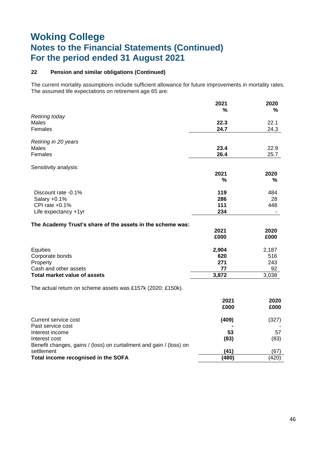## **22 Pension and similar obligations (Continued)**

The current mortality assumptions include sufficient allowance for future improvements in mortality rates. The assumed life expectations on retirement age 65 are:

|                                                             | 2021  | 2020  |
|-------------------------------------------------------------|-------|-------|
|                                                             | %     | %     |
| Retiring today                                              |       |       |
| Males                                                       | 22.3  | 22.1  |
| Females                                                     | 24.7  | 24.3  |
|                                                             |       |       |
| Retiring in 20 years<br>Males                               | 23.4  | 22.9  |
| Females                                                     | 26.4  | 25.7  |
|                                                             |       |       |
| Sensitivity analysis:                                       |       |       |
|                                                             | 2021  | 2020  |
|                                                             | %     | %     |
| Discount rate -0.1%                                         | 119   | 484   |
| Salary +0.1%                                                | 286   | 28    |
| CPI rate +0.1%                                              | 111   | 448   |
| Life expectancy +1yr                                        | 234   |       |
|                                                             |       |       |
| The Academy Trust's share of the assets in the scheme was:  | 2021  | 2020  |
|                                                             | £000  | £000  |
|                                                             |       |       |
| Equities                                                    | 2,904 | 2,187 |
| Corporate bonds                                             | 620   | 516   |
| Property                                                    | 271   | 243   |
| Cash and other assets                                       | 77    | 92    |
| <b>Total market value of assets</b>                         | 3,872 | 3,038 |
| The actual return on scheme assets was £157k (2020: £150k). |       |       |
|                                                             | 2021  | 2020  |
|                                                             | £000  | £000  |
| Current service cost                                        | (409) | (327) |
| Past service cost                                           |       |       |
| Interest income                                             | 53    | 57    |
| Interest cost                                               | (83)  | (83)  |

Benefit changes, gains / (loss) on curtailment and gain / (loss) on settlement **(41)** (67) **Total income recognised in the SOFA (480)** (420)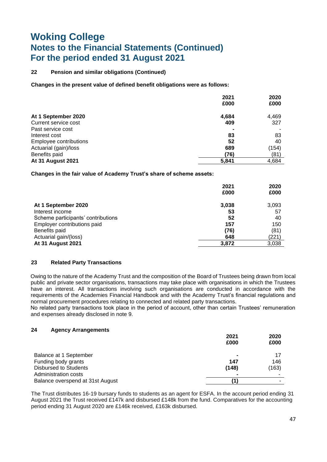## **22 Pension and similar obligations (Continued)**

**Changes in the present value of defined benefit obligations were as follows:**

|                          | 2021<br>£000 | 2020<br>£000 |
|--------------------------|--------------|--------------|
| At 1 September 2020      | 4,684        | 4,469        |
| Current service cost     | 409          | 327          |
| Past service cost        |              |              |
| Interest cost            | 83           | 83           |
| Employee contributions   | 52           | 40           |
| Actuarial (gain)/loss    | 689          | (154)        |
| Benefits paid            | (76)         | (81)         |
| <b>At 31 August 2021</b> | 5,841        | 4,684        |

**Changes in the fair value of Academy Trust's share of scheme assets:**

|                                    | 2021<br>£000 | 2020<br>£000 |
|------------------------------------|--------------|--------------|
| At 1 September 2020                | 3,038        | 3,093        |
| Interest income                    | 53           | 57           |
| Scheme participants' contributions | 52           | 40           |
| Employer contributions paid        | 157          | 150          |
| Benefits paid                      | (76)         | (81)         |
| Actuarial gain/(loss)              | 648          | (221)        |
| <b>At 31 August 2021</b>           | 3.872        | 3,038        |

## **23 Related Party Transactions**

Owing to the nature of the Academy Trust and the composition of the Board of Trustees being drawn from local public and private sector organisations, transactions may take place with organisations in which the Trustees have an interest. All transactions involving such organisations are conducted in accordance with the requirements of the Academies Financial Handbook and with the Academy Trust's financial regulations and normal procurement procedures relating to connected and related party transactions.

No related party transactions took place in the period of account, other than certain Trustees' remuneration and expenses already disclosed in note 9.

## **24 Agency Arrangements**

|                                  | 2021<br>£000   | 2020<br>£000 |
|----------------------------------|----------------|--------------|
| Balance at 1 September           | $\blacksquare$ | 17           |
| Funding body grants              | 147            | 146          |
| <b>Disbursed to Students</b>     | (148)          | (163)        |
| Administration costs             | $\blacksquare$ |              |
| Balance overspend at 31st August |                |              |

The Trust distributes 16-19 bursary funds to students as an agent for ESFA. In the account period ending 31 August 2021 the Trust received £147k and disbursed £148k from the fund. Comparatives for the accounting period ending 31 August 2020 are £146k received, £163k disbursed.